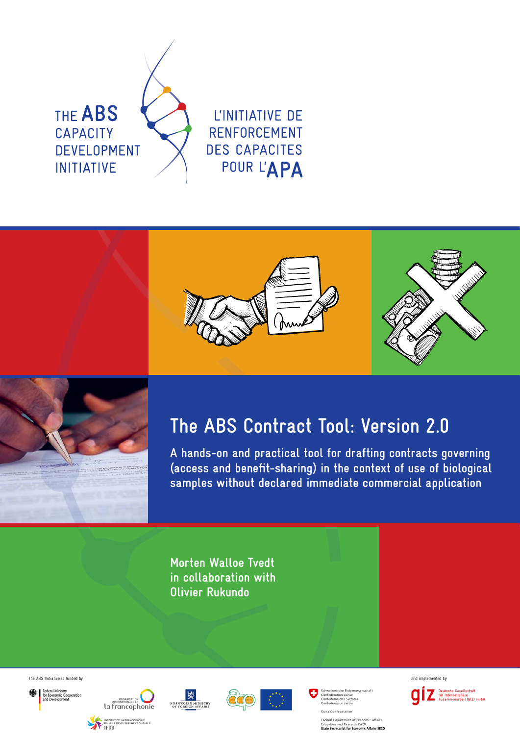





# **The ABS Contract Tool: Version 2.0**

**A hands-on and practical tool for drafting contracts governing (access and benefit-sharing) in the context of use of biological samples without declared immediate commercial application**

**Morten Walloe Tvedt in collaboration with Olivier Rukundo** 

The ABS Initiative is funded by

Federal Ministry<br>for Economic Co







h EAER at for Ec ...<br>ic Affairs SECO and implemented by

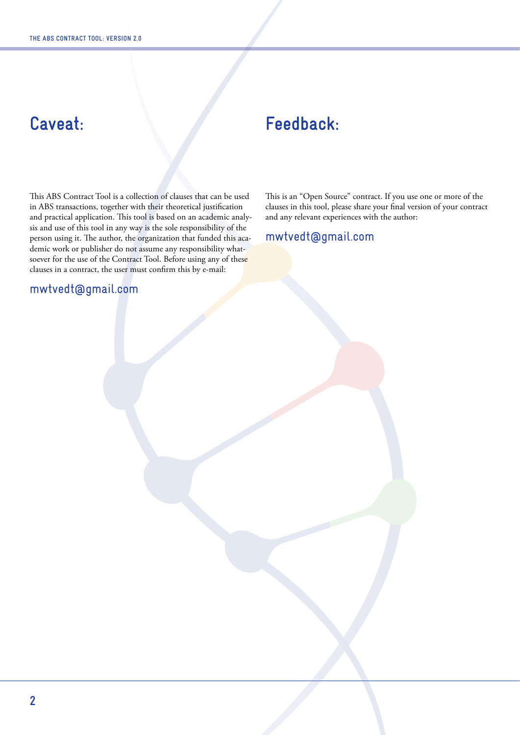#### This ABS Contract Tool is a collection of clauses that can be used in ABS transactions, together with their theoretical justification and practical application. This tool is based on an academic analysis and use of this tool in any way is the sole responsibility of the person using it. The author, the organization that funded this academic work or publisher do not assume any responsibility whatsoever for the use of the Contract Tool. Before using any of these clauses in a contract, the user must confirm this by e-mail:

## mwtvedt@gmail.com

## **Caveat: Feedback:**

This is an "Open Source" contract. If you use one or more of the clauses in this tool, please share your final version of your contract and any relevant experiences with the author:

## mwtvedt@gmail.com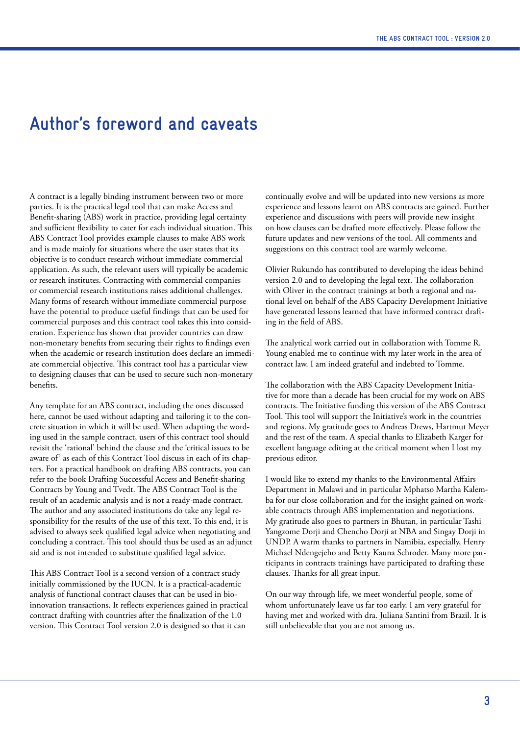## **Author's foreword and caveats**

A contract is a legally binding instrument between two or more parties. It is the practical legal tool that can make Access and Benefit-sharing (ABS) work in practice, providing legal certainty and sufficient flexibility to cater for each individual situation. This ABS Contract Tool provides example clauses to make ABS work and is made mainly for situations where the user states that its objective is to conduct research without immediate commercial application. As such, the relevant users will typically be academic or research institutes. Contracting with commercial companies or commercial research institutions raises additional challenges. Many forms of research without immediate commercial purpose have the potential to produce useful findings that can be used for commercial purposes and this contract tool takes this into consideration. Experience has shown that provider countries can draw non-monetary benefits from securing their rights to findings even when the academic or research institution does declare an immediate commercial objective. This contract tool has a particular view to designing clauses that can be used to secure such non-monetary benefits.

Any template for an ABS contract, including the ones discussed here, cannot be used without adapting and tailoring it to the concrete situation in which it will be used. When adapting the wording used in the sample contract, users of this contract tool should revisit the 'rational' behind the clause and the 'critical issues to be aware of' as each of this Contract Tool discuss in each of its chapters. For a practical handbook on drafting ABS contracts, you can refer to the book Drafting Successful Access and Benefit-sharing Contracts by Young and Tvedt. The ABS Contract Tool is the result of an academic analysis and is not a ready-made contract. The author and any associated institutions do take any legal responsibility for the results of the use of this text. To this end, it is advised to always seek qualified legal advice when negotiating and concluding a contract. This tool should thus be used as an adjunct aid and is not intended to substitute qualified legal advice.

This ABS Contract Tool is a second version of a contract study initially commissioned by the IUCN. It is a practical-academic analysis of functional contract clauses that can be used in bioinnovation transactions. It reflects experiences gained in practical contract drafting with countries after the finalization of the 1.0 version. This Contract Tool version 2.0 is designed so that it can

continually evolve and will be updated into new versions as more experience and lessons learnt on ABS contracts are gained. Further experience and discussions with peers will provide new insight on how clauses can be drafted more effectively. Please follow the future updates and new versions of the tool. All comments and suggestions on this contract tool are warmly welcome.

Olivier Rukundo has contributed to developing the ideas behind version 2.0 and to developing the legal text. The collaboration with Oliver in the contract trainings at both a regional and national level on behalf of the ABS Capacity Development Initiative have generated lessons learned that have informed contract drafting in the field of ABS.

The analytical work carried out in collaboration with Tomme R. Young enabled me to continue with my later work in the area of contract law. I am indeed grateful and indebted to Tomme.

The collaboration with the ABS Capacity Development Initiative for more than a decade has been crucial for my work on ABS contracts. The Initiative funding this version of the ABS Contract Tool. This tool will support the Initiative's work in the countries and regions. My gratitude goes to Andreas Drews, Hartmut Meyer and the rest of the team. A special thanks to Elizabeth Karger for excellent language editing at the critical moment when I lost my previous editor.

I would like to extend my thanks to the Environmental Affairs Department in Malawi and in particular Mphatso Martha Kalemba for our close collaboration and for the insight gained on workable contracts through ABS implementation and negotiations. My gratitude also goes to partners in Bhutan, in particular Tashi Yangzome Dorji and Chencho Dorji at NBA and Singay Dorji in UNDP. A warm thanks to partners in Namibia, especially, Henry Michael Ndengejeho and Betty Kauna Schroder. Many more participants in contracts trainings have participated to drafting these clauses. Thanks for all great input.

On our way through life, we meet wonderful people, some of whom unfortunately leave us far too early. I am very grateful for having met and worked with dra. Juliana Santini from Brazil. It is still unbelievable that you are not among us.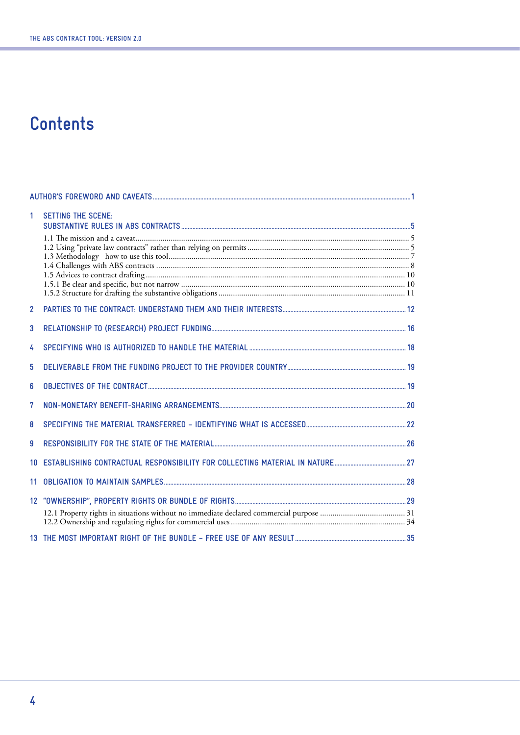# Contents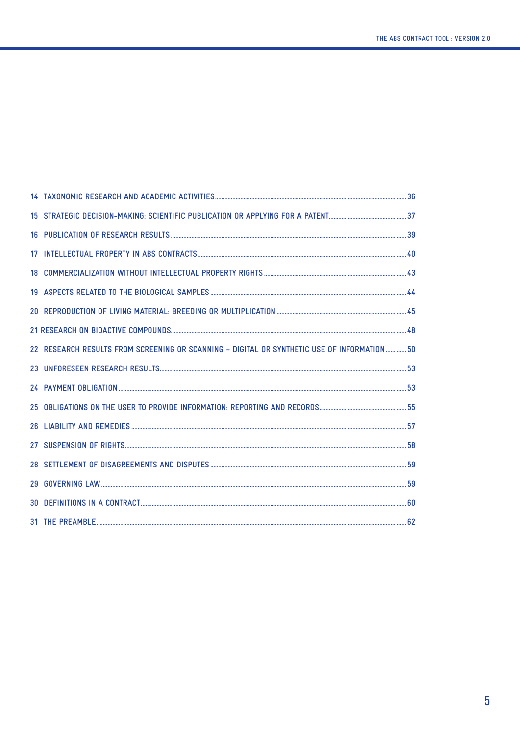| 22 RESEARCH RESULTS FROM SCREENING OR SCANNING - DIGITAL OR SYNTHETIC USE OF INFORMATION50 |  |
|--------------------------------------------------------------------------------------------|--|
|                                                                                            |  |
|                                                                                            |  |
|                                                                                            |  |
|                                                                                            |  |
|                                                                                            |  |
|                                                                                            |  |
|                                                                                            |  |
|                                                                                            |  |
|                                                                                            |  |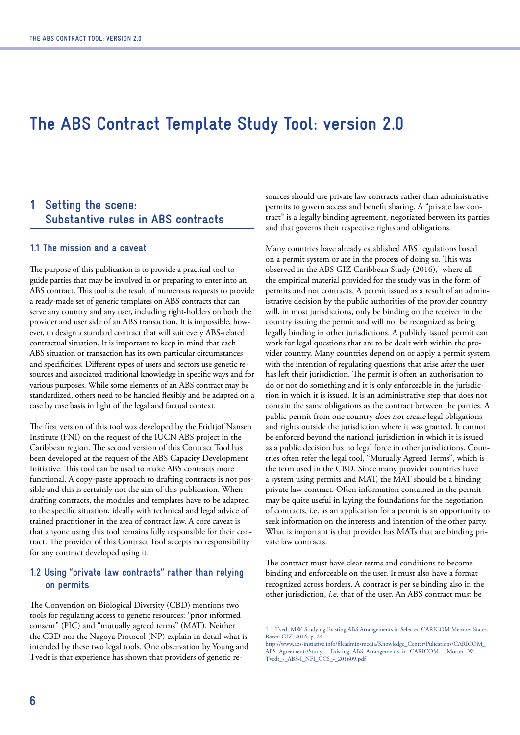## **The ABS Contract Template Study Tool: version 2.0**

### **1 Setting the scene: Substantive rules in ABS contracts**

#### **1.1 The mission and a caveat**

The purpose of this publication is to provide a practical tool to guide parties that may be involved in or preparing to enter into an ABS contract. This tool is the result of numerous requests to provide a ready-made set of generic templates on ABS contracts that can serve any country and any user, including right-holders on both the provider and user side of an ABS transaction. It is impossible, however, to design a standard contract that will suit every ABS-related contractual situation. It is important to keep in mind that each ABS situation or transaction has its own particular circumstances and specificities. Different types of users and sectors use genetic resources and associated traditional knowledge in specific ways and for various purposes. While some elements of an ABS contract may be standardized, others need to be handled flexibly and be adapted on a case by case basis in light of the legal and factual context.

The first version of this tool was developed by the Fridtjof Nansen Institute (FNI) on the request of the IUCN ABS project in the Caribbean region. The second version of this Contract Tool has been developed at the request of the ABS Capacity Development Initiative. This tool can be used to make ABS contracts more functional. A copy-paste approach to drafting contracts is not possible and this is certainly not the aim of this publication. When drafting contracts, the modules and templates have to be adapted to the specific situation, ideally with technical and legal advice of trained practitioner in the area of contract law. A core caveat is that anyone using this tool remains fully responsible for their contract. The provider of this Contract Tool accepts no responsibility for any contract developed using it.

#### **1.2 Using "private law contracts" rather than relying on permits**

The Convention on Biological Diversity (CBD) mentions two tools for regulating access to genetic resources: "prior informed consent" (PIC) and "mutually agreed terms" (MAT). Neither the CBD nor the Nagoya Protocol (NP) explain in detail what is intended by these two legal tools. One observation by Young and Tvedt is that experience has shown that providers of genetic resources should use private law contracts rather than administrative permits to govern access and benefit sharing. A "private law contract" is a legally binding agreement, negotiated between its parties and that governs their respective rights and obligations.

Many countries have already established ABS regulations based on a permit system or are in the process of doing so. This was observed in the ABS GIZ Caribbean Study (2016),<sup>1</sup> where all the empirical material provided for the study was in the form of permits and not contracts. A permit issued as a result of an administrative decision by the public authorities of the provider country will, in most jurisdictions, only be binding on the receiver in the country issuing the permit and will not be recognized as being legally binding in other jurisdictions. A publicly issued permit can work for legal questions that are to be dealt with within the provider country. Many countries depend on or apply a permit system with the intention of regulating questions that arise after the user has left their jurisdiction. The permit is often an authorisation to do or not do something and it is only enforceable in the jurisdiction in which it is issued. It is an administrative step that does not contain the same obligations as the contract between the parties. A public permit from one country does not create legal obligations and rights outside the jurisdiction where it was granted. It cannot be enforced beyond the national jurisdiction in which it is issued as a public decision has no legal force in other jurisdictions. Countries often refer the legal tool, "Mutually Agreed Terms", which is the term used in the CBD. Since many provider countries have a system using permits and MAT, the MAT should be a binding private law contract. Often information contained in the permit may be quite useful in laying the foundations for the negotiation of contracts, i.e. as an application for a permit is an opportunity to seek information on the interests and intention of the other party. What is important is that provider has MATs that are binding private law contracts.

The contract must have clear terms and conditions to become binding and enforceable on the user. It must also have a format recognized across borders. A contract is per se binding also in the other jurisdiction, i.e. that of the user. An ABS contract must be

<sup>1</sup> Tvedt MW. Studying Existing ABS Arrangements in Selected CARICOM Member States. Bonn: GIZ; 2016. p. 24.

http://www.abs-initiative.info/fileadmin/media/Knowledge\_Center/Pulications/CARICOM\_ ABS\_Agreements/Study\_-\_Existing\_ABS\_Arrangements\_in\_CARICOM\_-\_Morten\_W\_ Tvedt\_-\_ABS-I\_NFI\_CCS\_-\_201609.pdf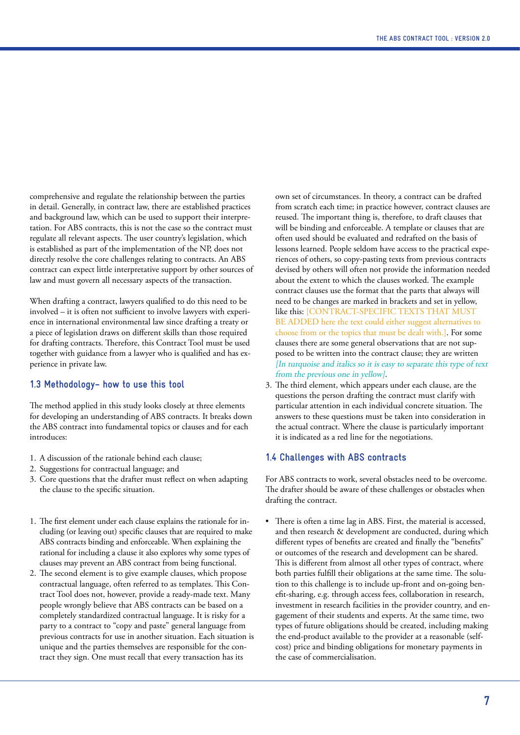comprehensive and regulate the relationship between the parties in detail. Generally, in contract law, there are established practices and background law, which can be used to support their interpretation. For ABS contracts, this is not the case so the contract must regulate all relevant aspects. The user country's legislation, which is established as part of the implementation of the NP, does not directly resolve the core challenges relating to contracts. An ABS contract can expect little interpretative support by other sources of law and must govern all necessary aspects of the transaction.

When drafting a contract, lawyers qualified to do this need to be involved – it is often not sufficient to involve lawyers with experience in international environmental law since drafting a treaty or a piece of legislation draws on different skills than those required for drafting contracts. Therefore, this Contract Tool must be used together with guidance from a lawyer who is qualified and has experience in private law.

#### **1.3 Methodology– how to use this tool**

The method applied in this study looks closely at three elements for developing an understanding of ABS contracts. It breaks down the ABS contract into fundamental topics or clauses and for each introduces:

- 1. A discussion of the rationale behind each clause;
- 2. Suggestions for contractual language; and
- 3. Core questions that the drafter must reflect on when adapting the clause to the specific situation.
- 1. The first element under each clause explains the rationale for including (or leaving out) specific clauses that are required to make ABS contracts binding and enforceable. When explaining the rational for including a clause it also explores why some types of clauses may prevent an ABS contract from being functional.
- 2. The second element is to give example clauses, which propose contractual language, often referred to as templates. This Contract Tool does not, however, provide a ready-made text. Many people wrongly believe that ABS contracts can be based on a completely standardized contractual language. It is risky for a party to a contract to "copy and paste" general language from previous contracts for use in another situation. Each situation is unique and the parties themselves are responsible for the contract they sign. One must recall that every transaction has its

own set of circumstances. In theory, a contract can be drafted from scratch each time; in practice however, contract clauses are reused. The important thing is, therefore, to draft clauses that will be binding and enforceable. A template or clauses that are often used should be evaluated and redrafted on the basis of lessons learned. People seldom have access to the practical experiences of others, so copy-pasting texts from previous contracts devised by others will often not provide the information needed about the extent to which the clauses worked. The example contract clauses use the format that the parts that always will need to be changes are marked in brackets and set in yellow, like this: [CONTRACT-SPECIFIC TEXTS THAT MUST BE ADDED here the text could either suggest alternatives to choose from or the topics that must be dealt with.]. For some clauses there are some general observations that are not supposed to be written into the contract clause; they are written [In turquoise and italics so it is easy to separate this type of text from the previous one in yellow].

3. The third element, which appears under each clause, are the questions the person drafting the contract must clarify with particular attention in each individual concrete situation. The answers to these questions must be taken into consideration in the actual contract. Where the clause is particularly important it is indicated as a red line for the negotiations.

#### **1.4 Challenges with ABS contracts**

For ABS contracts to work, several obstacles need to be overcome. The drafter should be aware of these challenges or obstacles when drafting the contract.

• There is often a time lag in ABS. First, the material is accessed, and then research & development are conducted, during which different types of benefits are created and finally the "benefits" or outcomes of the research and development can be shared. This is different from almost all other types of contract, where both parties fulfill their obligations at the same time. The solution to this challenge is to include up-front and on-going benefit-sharing, e.g. through access fees, collaboration in research, investment in research facilities in the provider country, and engagement of their students and experts. At the same time, two types of future obligations should be created, including making the end-product available to the provider at a reasonable (selfcost) price and binding obligations for monetary payments in the case of commercialisation.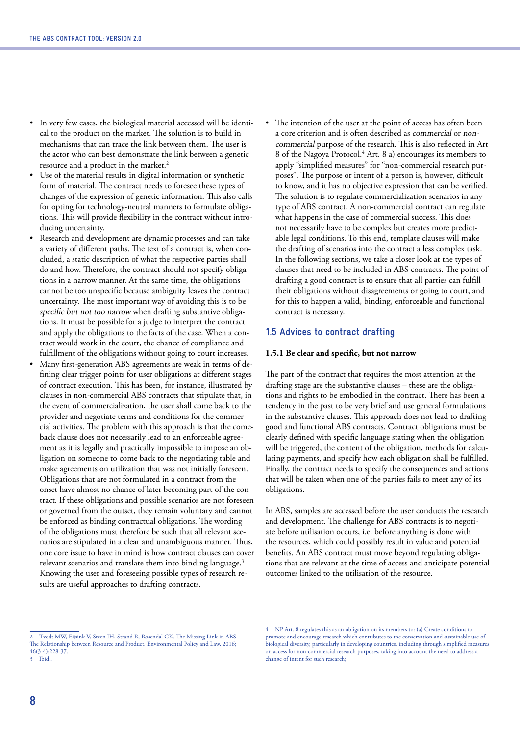- In very few cases, the biological material accessed will be identical to the product on the market. The solution is to build in mechanisms that can trace the link between them. The user is the actor who can best demonstrate the link between a genetic resource and a product in the market.<sup>2</sup>
- Use of the material results in digital information or synthetic form of material. The contract needs to foresee these types of changes of the expression of genetic information. This also calls for opting for technology-neutral manners to formulate obligations. This will provide flexibility in the contract without introducing uncertainty.
- Research and development are dynamic processes and can take a variety of different paths. The text of a contract is, when concluded, a static description of what the respective parties shall do and how. Therefore, the contract should not specify obligations in a narrow manner. At the same time, the obligations cannot be too unspecific because ambiguity leaves the contract uncertainty. The most important way of avoiding this is to be specific but not too narrow when drafting substantive obligations. It must be possible for a judge to interpret the contract and apply the obligations to the facts of the case. When a contract would work in the court, the chance of compliance and fulfillment of the obligations without going to court increases.
- Many first-generation ABS agreements are weak in terms of defining clear trigger points for user obligations at different stages of contract execution. This has been, for instance, illustrated by clauses in non-commercial ABS contracts that stipulate that, in the event of commercialization, the user shall come back to the provider and negotiate terms and conditions for the commercial activities. The problem with this approach is that the comeback clause does not necessarily lead to an enforceable agreement as it is legally and practically impossible to impose an obligation on someone to come back to the negotiating table and make agreements on utilization that was not initially foreseen. Obligations that are not formulated in a contract from the onset have almost no chance of later becoming part of the contract. If these obligations and possible scenarios are not foreseen or governed from the outset, they remain voluntary and cannot be enforced as binding contractual obligations. The wording of the obligations must therefore be such that all relevant scenarios are stipulated in a clear and unambiguous manner. Thus, one core issue to have in mind is how contract clauses can cover relevant scenarios and translate them into binding language.<sup>3</sup> Knowing the user and foreseeing possible types of research results are useful approaches to drafting contracts.
- The intention of the user at the point of access has often been a core criterion and is often described as commercial or noncommercial purpose of the research. This is also reflected in Art 8 of the Nagoya Protocol.<sup>4</sup> Art. 8 a) encourages its members to apply "simplified measures" for "non-commercial research purposes". The purpose or intent of a person is, however, difficult to know, and it has no objective expression that can be verified. The solution is to regulate commercialization scenarios in any type of ABS contract. A non-commercial contract can regulate what happens in the case of commercial success. This does not necessarily have to be complex but creates more predictable legal conditions. To this end, template clauses will make the drafting of scenarios into the contract a less complex task. In the following sections, we take a closer look at the types of clauses that need to be included in ABS contracts. The point of drafting a good contract is to ensure that all parties can fulfill their obligations without disagreements or going to court, and for this to happen a valid, binding, enforceable and functional contract is necessary.

#### **1.5 Advices to contract drafting**

#### **1.5.1 Be clear and specific, but not narrow**

The part of the contract that requires the most attention at the drafting stage are the substantive clauses – these are the obligations and rights to be embodied in the contract. There has been a tendency in the past to be very brief and use general formulations in the substantive clauses. This approach does not lead to drafting good and functional ABS contracts. Contract obligations must be clearly defined with specific language stating when the obligation will be triggered, the content of the obligation, methods for calculating payments, and specify how each obligation shall be fulfilled. Finally, the contract needs to specify the consequences and actions that will be taken when one of the parties fails to meet any of its obligations.

In ABS, samples are accessed before the user conducts the research and development. The challenge for ABS contracts is to negotiate before utilisation occurs, i.e. before anything is done with the resources, which could possibly result in value and potential benefits. An ABS contract must move beyond regulating obligations that are relevant at the time of access and anticipate potential outcomes linked to the utilisation of the resource.

<sup>2</sup> Tvedt MW, Eijsink V, Steen IH, Strand R, Rosendal GK. The Missing Link in ABS - The Relationship between Resource and Product. Environmental Policy and Law. 2016; 46(3-4):228-37. 3 Ibid..

<sup>4</sup> NP Art. 8 regulates this as an obligation on its members to: (a) Create conditions to promote and encourage research which contributes to the conservation and sustainable use of biological diversity, particularly in developing countries, including through simplified measures on access for non-commercial research purposes, taking into account the need to address a change of intent for such research;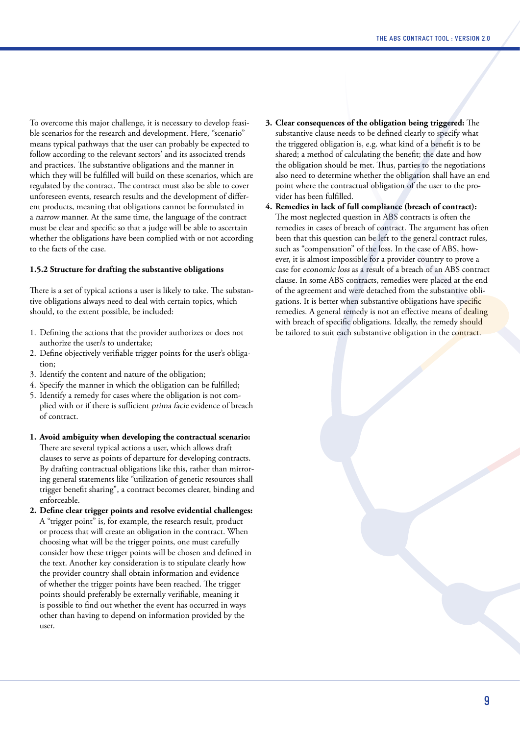To overcome this major challenge, it is necessary to develop feasible scenarios for the research and development. Here, "scenario" means typical pathways that the user can probably be expected to follow according to the relevant sectors' and its associated trends and practices. The substantive obligations and the manner in which they will be fulfilled will build on these scenarios, which are regulated by the contract. The contract must also be able to cover unforeseen events, research results and the development of different products, meaning that obligations cannot be formulated in a narrow manner. At the same time, the language of the contract must be clear and specific so that a judge will be able to ascertain whether the obligations have been complied with or not according to the facts of the case.

#### **1.5.2 Structure for drafting the substantive obligations**

There is a set of typical actions a user is likely to take. The substantive obligations always need to deal with certain topics, which should, to the extent possible, be included:

- 1. Defining the actions that the provider authorizes or does not authorize the user/s to undertake;
- 2. Define objectively verifiable trigger points for the user's obligation;
- 3. Identify the content and nature of the obligation;
- 4. Specify the manner in which the obligation can be fulfilled;
- 5. Identify a remedy for cases where the obligation is not complied with or if there is sufficient prima facie evidence of breach of contract.
- **1. Avoid ambiguity when developing the contractual scenario:**  There are several typical actions a user, which allows draft clauses to serve as points of departure for developing contracts. By drafting contractual obligations like this, rather than mirroring general statements like "utilization of genetic resources shall trigger benefit sharing", a contract becomes clearer, binding and enforceable.
- **2. Define clear trigger points and resolve evidential challenges:**  A "trigger point" is, for example, the research result, product or process that will create an obligation in the contract. When choosing what will be the trigger points, one must carefully consider how these trigger points will be chosen and defined in the text. Another key consideration is to stipulate clearly how the provider country shall obtain information and evidence of whether the trigger points have been reached. The trigger points should preferably be externally verifiable, meaning it is possible to find out whether the event has occurred in ways other than having to depend on information provided by the user.
- **3. Clear consequences of the obligation being triggered:** The substantive clause needs to be defined clearly to specify what the triggered obligation is, e.g. what kind of a benefit is to be shared; a method of calculating the benefit; the date and how the obligation should be met. Thus, parties to the negotiations also need to determine whether the obligation shall have an end point where the contractual obligation of the user to the provider has been fulfilled.
- **4. Remedies in lack of full compliance (breach of contract):** The most neglected question in ABS contracts is often the remedies in cases of breach of contract. The argument has often been that this question can be left to the general contract rules, such as "compensation" of the loss. In the case of ABS, however, it is almost impossible for a provider country to prove a case for economic loss as a result of a breach of an ABS contract clause. In some ABS contracts, remedies were placed at the end of the agreement and were detached from the substantive obligations. It is better when substantive obligations have specific remedies. A general remedy is not an effective means of dealing with breach of specific obligations. Ideally, the remedy should be tailored to suit each substantive obligation in the contract.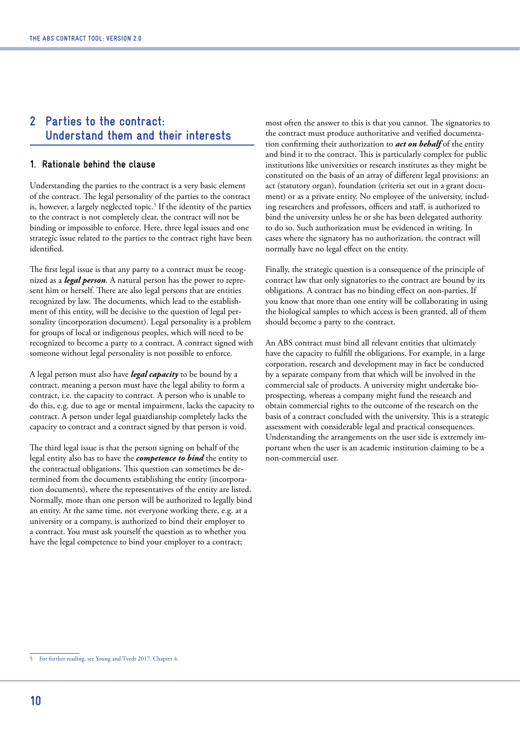### **2 Parties to the contract: Understand them and their interests**

#### **1. Rationale behind the clause**

Understanding the parties to the contract is a very basic element of the contract. The legal personality of the parties to the contract is, however, a largely neglected topic.<sup>5</sup> If the identity of the parties to the contract is not completely clear, the contract will not be binding or impossible to enforce. Here, three legal issues and one strategic issue related to the parties to the contract right have been identified.

The first legal issue is that any party to a contract must be recognized as a *legal person*. A natural person has the power to represent him or herself. There are also legal persons that are entities recognized by law. The documents, which lead to the establishment of this entity, will be decisive to the question of legal personality (incorporation document). Legal personality is a problem for groups of local or indigenous peoples, which will need to be recognized to become a party to a contract. A contract signed with someone without legal personality is not possible to enforce.

A legal person must also have *legal capacity* to be bound by a contract, meaning a person must have the legal ability to form a contract, i.e. the capacity to contract. A person who is unable to do this, e.g. due to age or mental impairment, lacks the capacity to contract. A person under legal guardianship completely lacks the capacity to contract and a contract signed by that person is void.

The third legal issue is that the person signing on behalf of the legal entity also has to have the *competence to bind* the entity to the contractual obligations. This question can sometimes be determined from the documents establishing the entity (incorporation documents), where the representatives of the entity are listed. Normally, more than one person will be authorized to legally bind an entity. At the same time, not everyone working there, e.g. at a university or a company, is authorized to bind their employer to a contract. You must ask yourself the question as to whether you have the legal competence to bind your employer to a contract;

most often the answer to this is that you cannot. The signatories to the contract must produce authoritative and verified documentation confirming their authorization to *act on behalf* of the entity and bind it to the contract. This is particularly complex for public institutions like universities or research institutes as they might be constituted on the basis of an array of different legal provisions: an act (statutory organ), foundation (criteria set out in a grant document) or as a private entity. No employee of the university, including researchers and professors, officers and staff, is authorized to bind the university unless he or she has been delegated authority to do so. Such authorization must be evidenced in writing. In cases where the signatory has no authorization, the contract will normally have no legal effect on the entity.

Finally, the strategic question is a consequence of the principle of contract law that only signatories to the contract are bound by its obligations. A contract has no binding effect on non-parties. If you know that more than one entity will be collaborating in using the biological samples to which access is been granted, all of them should become a party to the contract.

An ABS contract must bind all relevant entities that ultimately have the capacity to fulfill the obligations. For example, in a large corporation, research and development may in fact be conducted by a separate company from that which will be involved in the commercial sale of products. A university might undertake bioprospecting, whereas a company might fund the research and obtain commercial rights to the outcome of the research on the basis of a contract concluded with the university. This is a strategic assessment with considerable legal and practical consequences. Understanding the arrangements on the user side is extremely important when the user is an academic institution claiming to be a non-commercial user.

<sup>5</sup> For further reading, see Young and Tvedt 2017, Chapter 4.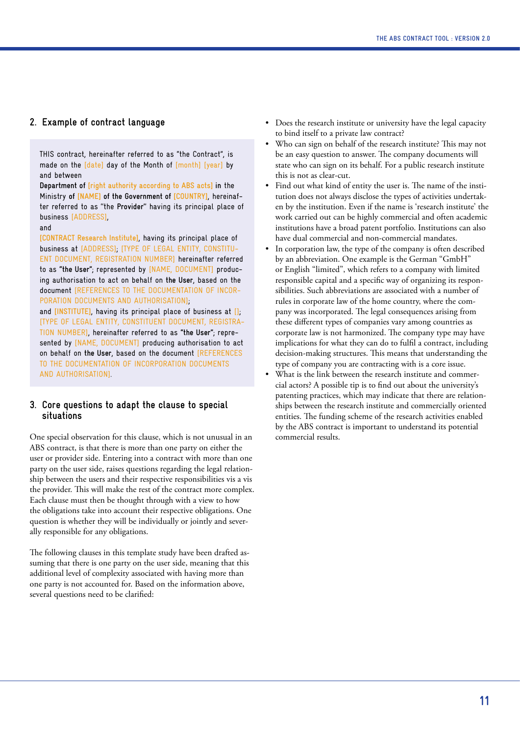#### **2. Example of contract language**

THIS contract, hereinafter referred to as "the Contract", is made on the [date] day of the Month of [month] [year] by and between

**Department of [right authority according to ABS acts] in** the Ministry **of [NAME] of the Government of [COUNTRY]**, hereinafter referred to as ''the **Provider'**' having its principal place of business [ADDRESS],

and

**[CONTRACT Research Institute]**, having its principal place of business at [ADDRESS]; [TYPE OF LEGAL ENTITY, CONSTITU-ENT DOCUMENT, REGISTRATION NUMBER] hereinafter referred to as **"the User"**; represented by [NAME, DOCUMENT] producing authorisation to act on behalf on **the User**, based on the document [REFERENCES TO THE DOCUMENTATION OF INCOR-PORATION DOCUMENTS AND AUTHORISATION];

and **[INSTITUTE]**, having its principal place of business at []; [TYPE OF LEGAL ENTITY, CONSTITUENT DOCUMENT, REGISTRA-TION NUMBER], hereinafter referred to as **"the User"**; represented by [NAME, DOCUMENT] producing authorisation to act on behalf on **the User**, based on the document [REFERENCES TO THE DOCUMENTATION OF INCORPORATION DOCUMENTS AND AUTHORISATION].

#### **3. Core questions to adapt the clause to special situations**

One special observation for this clause, which is not unusual in an ABS contract, is that there is more than one party on either the user or provider side. Entering into a contract with more than one party on the user side, raises questions regarding the legal relationship between the users and their respective responsibilities vis a vis the provider. This will make the rest of the contract more complex. Each clause must then be thought through with a view to how the obligations take into account their respective obligations. One question is whether they will be individually or jointly and severally responsible for any obligations.

The following clauses in this template study have been drafted assuming that there is one party on the user side, meaning that this additional level of complexity associated with having more than one party is not accounted for. Based on the information above, several questions need to be clarified:

- Does the research institute or university have the legal capacity to bind itself to a private law contract?
- Who can sign on behalf of the research institute? This may not be an easy question to answer. The company documents will state who can sign on its behalf. For a public research institute this is not as clear-cut.
- Find out what kind of entity the user is. The name of the institution does not always disclose the types of activities undertaken by the institution. Even if the name is 'research institute' the work carried out can be highly commercial and often academic institutions have a broad patent portfolio. Institutions can also have dual commercial and non-commercial mandates.
- In corporation law, the type of the company is often described by an abbreviation. One example is the German "GmbH" or English "limited", which refers to a company with limited responsible capital and a specific way of organizing its responsibilities. Such abbreviations are associated with a number of rules in corporate law of the home country, where the company was incorporated. The legal consequences arising from these different types of companies vary among countries as corporate law is not harmonized. The company type may have implications for what they can do to fulfil a contract, including decision-making structures. This means that understanding the type of company you are contracting with is a core issue.
- What is the link between the research institute and commercial actors? A possible tip is to find out about the university's patenting practices, which may indicate that there are relationships between the research institute and commercially oriented entities. The funding scheme of the research activities enabled by the ABS contract is important to understand its potential commercial results.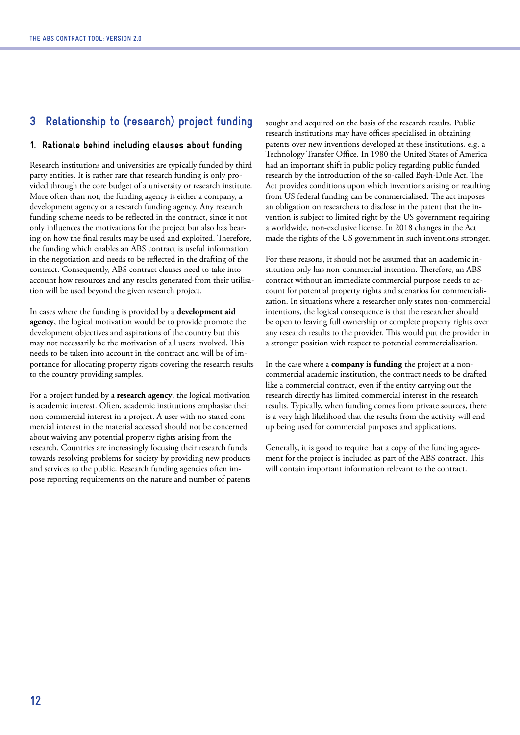### **3 Relationship to (research) project funding**

#### **1. Rationale behind including clauses about funding**

Research institutions and universities are typically funded by third party entities. It is rather rare that research funding is only provided through the core budget of a university or research institute. More often than not, the funding agency is either a company, a development agency or a research funding agency. Any research funding scheme needs to be reflected in the contract, since it not only influences the motivations for the project but also has bearing on how the final results may be used and exploited. Therefore, the funding which enables an ABS contract is useful information in the negotiation and needs to be reflected in the drafting of the contract. Consequently, ABS contract clauses need to take into account how resources and any results generated from their utilisation will be used beyond the given research project.

In cases where the funding is provided by a **development aid agency**, the logical motivation would be to provide promote the development objectives and aspirations of the country but this may not necessarily be the motivation of all users involved. This needs to be taken into account in the contract and will be of importance for allocating property rights covering the research results to the country providing samples.

For a project funded by a **research agency**, the logical motivation is academic interest. Often, academic institutions emphasise their non-commercial interest in a project. A user with no stated commercial interest in the material accessed should not be concerned about waiving any potential property rights arising from the research. Countries are increasingly focusing their research funds towards resolving problems for society by providing new products and services to the public. Research funding agencies often impose reporting requirements on the nature and number of patents sought and acquired on the basis of the research results. Public research institutions may have offices specialised in obtaining patents over new inventions developed at these institutions, e.g. a Technology Transfer Office. In 1980 the United States of America had an important shift in public policy regarding public funded research by the introduction of the so-called Bayh-Dole Act. The Act provides conditions upon which inventions arising or resulting from US federal funding can be commercialised. The act imposes an obligation on researchers to disclose in the patent that the invention is subject to limited right by the US government requiring a worldwide, non-exclusive license. In 2018 changes in the Act made the rights of the US government in such inventions stronger.

For these reasons, it should not be assumed that an academic institution only has non-commercial intention. Therefore, an ABS contract without an immediate commercial purpose needs to account for potential property rights and scenarios for commercialization. In situations where a researcher only states non-commercial intentions, the logical consequence is that the researcher should be open to leaving full ownership or complete property rights over any research results to the provider. This would put the provider in a stronger position with respect to potential commercialisation.

In the case where a **company is funding** the project at a noncommercial academic institution, the contract needs to be drafted like a commercial contract, even if the entity carrying out the research directly has limited commercial interest in the research results. Typically, when funding comes from private sources, there is a very high likelihood that the results from the activity will end up being used for commercial purposes and applications.

Generally, it is good to require that a copy of the funding agreement for the project is included as part of the ABS contract. This will contain important information relevant to the contract.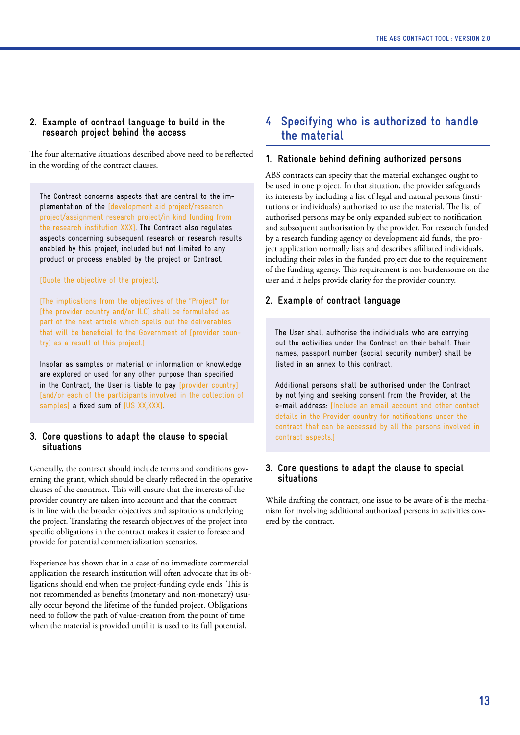#### **2. Example of contract language to build in the research project behind the access**

The four alternative situations described above need to be reflected in the wording of the contract clauses.

The Contract concerns aspects that are central to the implementation of the [development aid project/research project/assignment research project/in kind funding from the research institution XXX]. The Contract also regulates aspects concerning subsequent research or research results enabled by this project, included but not limited to any product or process enabled by the project or Contract.

#### [Quote the objective of the project].

[The implications from the objectives of the "Project" for [the provider country and/or ILC] shall be formulated as part of the next article which spells out the deliverables that will be beneficial to the Government of [provider country] as a result of this project.]

Insofar as samples or material or information or knowledge are explored or used for any other purpose than specified in the Contract, the User is liable to pay [provider country] [and/or each of the participants involved in the collection of samples] a fixed sum of [US XX,XXX].

#### **3. Core questions to adapt the clause to special situations**

Generally, the contract should include terms and conditions governing the grant, which should be clearly reflected in the operative clauses of the caontract. This will ensure that the interests of the provider country are taken into account and that the contract is in line with the broader objectives and aspirations underlying the project. Translating the research objectives of the project into specific obligations in the contract makes it easier to foresee and provide for potential commercialization scenarios.

Experience has shown that in a case of no immediate commercial application the research institution will often advocate that its obligations should end when the project-funding cycle ends. This is not recommended as benefits (monetary and non-monetary) usually occur beyond the lifetime of the funded project. Obligations need to follow the path of value-creation from the point of time when the material is provided until it is used to its full potential.

### **4 Specifying who is authorized to handle the material**

#### **1. Rationale behind defining authorized persons**

ABS contracts can specify that the material exchanged ought to be used in one project. In that situation, the provider safeguards its interests by including a list of legal and natural persons (institutions or individuals) authorised to use the material. The list of authorised persons may be only expanded subject to notification and subsequent authorisation by the provider. For research funded by a research funding agency or development aid funds, the project application normally lists and describes affiliated individuals, including their roles in the funded project due to the requirement of the funding agency. This requirement is not burdensome on the user and it helps provide clarity for the provider country.

#### **2. Example of contract language**

The User shall authorise the individuals who are carrying out the activities under the Contract on their behalf. Their names, passport number (social security number) shall be listed in an annex to this contract.

Additional persons shall be authorised under the Contract by notifying and seeking consent from the Provider, at the e-mail address: [Include an email account and other contact details in the Provider country for notifications under the contract that can be accessed by all the persons involved in contract aspects.]

#### **3. Core questions to adapt the clause to special situations**

While drafting the contract, one issue to be aware of is the mechanism for involving additional authorized persons in activities covered by the contract.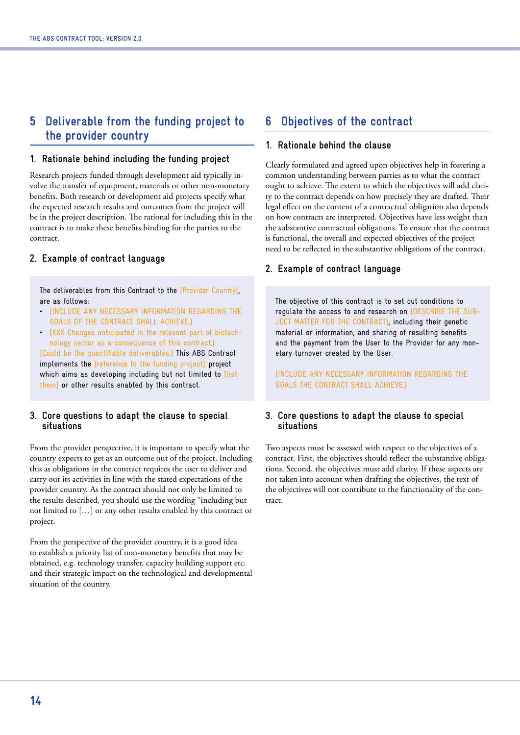### **5 Deliverable from the funding project to the provider country**

#### **1. Rationale behind including the funding project**

Research projects funded through development aid typically involve the transfer of equipment, materials or other non-monetary benefits. Both research or development aid projects specify what the expected research results and outcomes from the project will be in the project description. The rational for including this in the contract is to make these benefits binding for the parties to the contract.

#### **2. Example of contract language**

The deliverables from this Contract to the [Provider Country], are as follows:

- [INCLUDE ANY NECESSARY INFORMATION REGARDING THE GOALS OF THE CONTRACT SHALL ACHIEVE.]
- [XXX Changes anticipated in the relevant part of biotechnology sector as a consequence of this contract.]

[Could be the quantifiable deliverables.] This ABS Contract implements the [reference to the funding project] project which aims as developing including but not limited to [list them] or other results enabled by this contract.

#### **3. Core questions to adapt the clause to special situations**

From the provider perspective, it is important to specify what the country expects to get as an outcome out of the project. Including this as obligations in the contract requires the user to deliver and carry out its activities in line with the stated expectations of the provider country. As the contract should not only be limited to the results described, you should use the wording "including but not limited to […] or any other results enabled by this contract or project.

From the perspective of the provider country, it is a good idea to establish a priority list of non-monetary benefits that may be obtained, e.g. technology transfer, capacity building support etc. and their strategic impact on the technological and developmental situation of the country.

### **6 Objectives of the contract**

#### **1. Rationale behind the clause**

Clearly formulated and agreed upon objectives help in fostering a common understanding between parties as to what the contract ought to achieve. The extent to which the objectives will add clarity to the contract depends on how precisely they are drafted. Their legal effect on the content of a contractual obligation also depends on how contracts are interpreted. Objectives have less weight than the substantive contractual obligations. To ensure that the contract is functional, the overall and expected objectives of the project need to be reflected in the substantive obligations of the contract.

#### **2. Example of contract language**

The objective of this contract is to set out conditions to regulate the access to and research on [DESCRIBE THE SUB-JECT MATTER FOR THE CONTRACT], including their genetic material or information, and sharing of resulting benefits and the payment from the User to the Provider for any monetary turnover created by the User.

[INCLUDE ANY NECESSARY INFORMATION REGARDING THE GOALS THE CONTRACT SHALL ACHIEVE.]

#### **3. Core questions to adapt the clause to special situations**

Two aspects must be assessed with respect to the objectives of a contract. First, the objectives should reflect the substantive obligations. Second, the objectives must add clarity. If these aspects are not taken into account when drafting the objectives, the text of the objectives will not contribute to the functionality of the contract.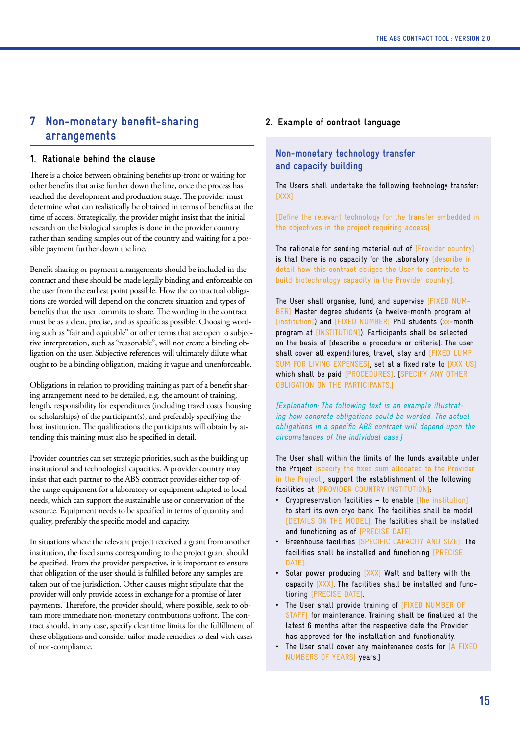### **7 Non-monetary benefit-sharing arrangements**

#### **1. Rationale behind the clause**

There is a choice between obtaining benefits up-front or waiting for other benefits that arise further down the line, once the process has reached the development and production stage. The provider must determine what can realistically be obtained in terms of benefits at the time of access. Strategically, the provider might insist that the initial research on the biological samples is done in the provider country rather than sending samples out of the country and waiting for a possible payment further down the line.

Benefit-sharing or payment arrangements should be included in the contract and these should be made legally binding and enforceable on the user from the earliest point possible. How the contractual obligations are worded will depend on the concrete situation and types of benefits that the user commits to share. The wording in the contract must be as a clear, precise, and as specific as possible. Choosing wording such as "fair and equitable" or other terms that are open to subjective interpretation, such as "reasonable", will not create a binding obligation on the user. Subjective references will ultimately dilute what ought to be a binding obligation, making it vague and unenforceable.

Obligations in relation to providing training as part of a benefit sharing arrangement need to be detailed, e.g. the amount of training, length, responsibility for expenditures (including travel costs, housing or scholarships) of the participant(s), and preferably specifying the host institution. The qualifications the participants will obtain by attending this training must also be specified in detail.

Provider countries can set strategic priorities, such as the building up institutional and technological capacities. A provider country may insist that each partner to the ABS contract provides either top-ofthe-range equipment for a laboratory or equipment adapted to local needs, which can support the sustainable use or conservation of the resource. Equipment needs to be specified in terms of quantity and quality, preferably the specific model and capacity.

In situations where the relevant project received a grant from another institution, the fixed sums corresponding to the project grant should be specified. From the provider perspective, it is important to ensure that obligation of the user should is fulfilled before any samples are taken out of the jurisdiction. Other clauses might stipulate that the provider will only provide access in exchange for a promise of later payments. Therefore, the provider should, where possible, seek to obtain more immediate non-monetary contributions upfront. The contract should, in any case, specify clear time limits for the fulfillment of these obligations and consider tailor-made remedies to deal with cases of non-compliance.

#### **2. Example of contract language**

### **Non-monetary technology transfer and capacity building**

The Users shall undertake the following technology transfer: [XXX]

[Define the relevant technology for the transfer embedded in the objectives in the project requiring access].

The rationale for sending material out of [Provider country] is that there is no capacity for the laboratory [describe in detail how this contract obliges the User to contribute to build biotechnology capacity in the Provider country].

The User shall organise, fund, and supervise [FIXED NUM-BER] Master degree students (a twelve-month program at [institution]) and [FIXED NUMBER] PhD students (xx-month program at [INSTITUTION]). Participants shall be selected on the basis of [describe a procedure or criteria]. The user shall cover all expenditures, travel, stay and [FIXED LUMP SUM FOR LIVING EXPENSES], set at a fixed rate to [XXX US] which shall be paid [PROCEDURES]. [SPECIFY ANY OTHER OBLIGATION ON THE PARTICIPANTS.]

[Explanation: The following text is an example illustrating how concrete obligations could be worded. The actual obligations in a specific ABS contract will depend upon the circumstances of the individual case.]

The User shall within the limits of the funds available under the Project [specify the fixed sum allocated to the Provider in the Project], support the establishment of the following facilities at [PROVIDER COUNTRY INSTITUTION]:

- Cryopreservation facilities to enable [the institution] to start its own cryo bank. The facilities shall be model [DETAILS ON THE MODEL]. The facilities shall be installed and functioning as of [PRECISE DATE].
- Greenhouse facilities [SPECIFIC CAPACITY AND SIZE]. The facilities shall be installed and functioning [PRECISE DATE].
- Solar power producing [XXX] Watt and battery with the capacity [XXX]. The facilities shall be installed and functioning [PRECISE DATE].
- The User shall provide training of [FIXED NUMBER OF STAFF] for maintenance. Training shall be finalized at the latest 6 months after the respective date the Provider has approved for the installation and functionality.
- The User shall cover any maintenance costs for [A FIXED NUMBERS OF YEARS] years.]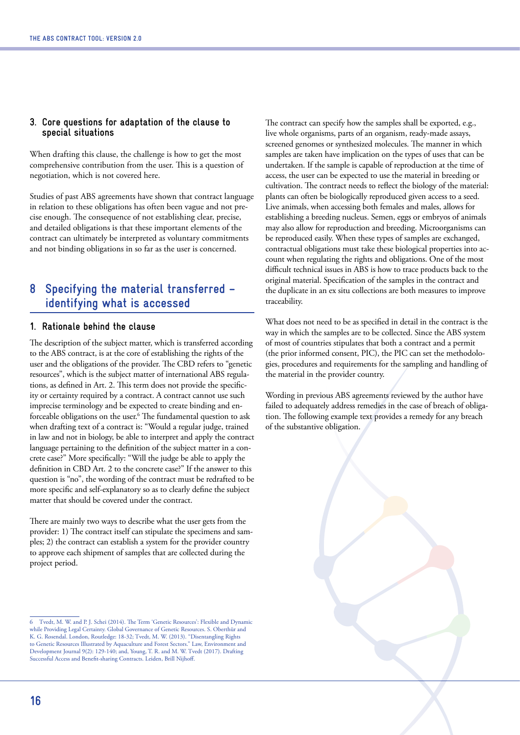#### **3. Core questions for adaptation of the clause to special situations**

When drafting this clause, the challenge is how to get the most comprehensive contribution from the user. This is a question of negotiation, which is not covered here.

Studies of past ABS agreements have shown that contract language in relation to these obligations has often been vague and not precise enough. The consequence of not establishing clear, precise, and detailed obligations is that these important elements of the contract can ultimately be interpreted as voluntary commitments and not binding obligations in so far as the user is concerned.

### **8 Specifying the material transferred – identifying what is accessed**

### **1. Rationale behind the clause**

The description of the subject matter, which is transferred according to the ABS contract, is at the core of establishing the rights of the user and the obligations of the provider. The CBD refers to "genetic resources", which is the subject matter of international ABS regulations, as defined in Art. 2. This term does not provide the specificity or certainty required by a contract. A contract cannot use such imprecise terminology and be expected to create binding and enforceable obligations on the user.<sup>6</sup> The fundamental question to ask when drafting text of a contract is: "Would a regular judge, trained in law and not in biology, be able to interpret and apply the contract language pertaining to the definition of the subject matter in a concrete case?" More specifically: "Will the judge be able to apply the definition in CBD Art. 2 to the concrete case?" If the answer to this question is "no", the wording of the contract must be redrafted to be more specific and self-explanatory so as to clearly define the subject matter that should be covered under the contract.

There are mainly two ways to describe what the user gets from the provider: 1) The contract itself can stipulate the specimens and samples; 2) the contract can establish a system for the provider country to approve each shipment of samples that are collected during the project period.

The contract can specify how the samples shall be exported, e.g., live whole organisms, parts of an organism, ready-made assays, screened genomes or synthesized molecules. The manner in which samples are taken have implication on the types of uses that can be undertaken. If the sample is capable of reproduction at the time of access, the user can be expected to use the material in breeding or cultivation. The contract needs to reflect the biology of the material: plants can often be biologically reproduced given access to a seed. Live animals, when accessing both females and males, allows for establishing a breeding nucleus. Semen, eggs or embryos of animals may also allow for reproduction and breeding. Microorganisms can be reproduced easily. When these types of samples are exchanged, contractual obligations must take these biological properties into account when regulating the rights and obligations. One of the most difficult technical issues in ABS is how to trace products back to the original material. Specification of the samples in the contract and the duplicate in an ex situ collections are both measures to improve traceability.

What does not need to be as specified in detail in the contract is the way in which the samples are to be collected. Since the ABS system of most of countries stipulates that both a contract and a permit (the prior informed consent, PIC), the PIC can set the methodologies, procedures and requirements for the sampling and handling of the material in the provider country.

Wording in previous ABS agreements reviewed by the author have failed to adequately address remedies in the case of breach of obligation. The following example text provides a remedy for any breach of the substantive obligation.

<sup>6</sup> Tvedt, M. W. and P. J. Schei (2014). The Term 'Genetic Resources': Flexible and Dynamic while Providing Legal Certainty. Global Governance of Genetic Resources. S. Oberthür and K. G. Rosendal. London, Routledge: 18-32; Tvedt, M. W. (2013). "Disentangling Rights to Genetic Resources Illustrated by Aquaculture and Forest Sectors." Law, Environment and Development Journal 9(2): 129-140; and, Young, T. R. and M. W. Tvedt (2017). Drafting Successful Access and Benefit-sharing Contracts. Leiden, Brill Nijhoff.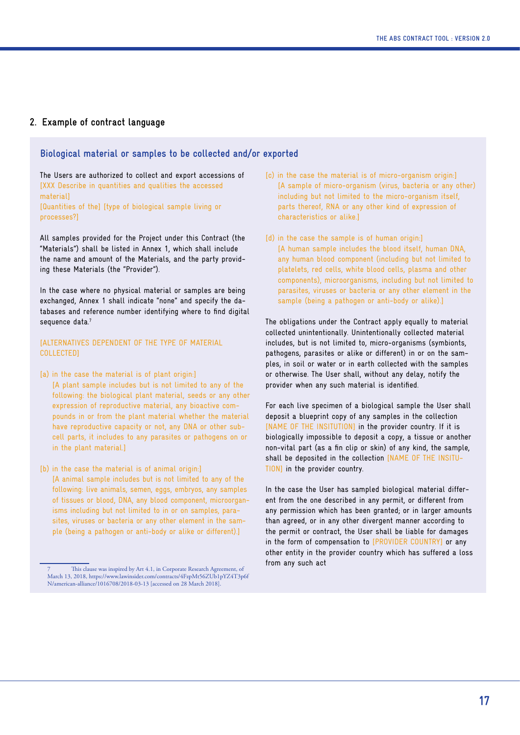#### **2. Example of contract language**

#### **Biological material or samples to be collected and/or exported**

The Users are authorized to collect and export accessions of [XXX Describe in quantities and qualities the accessed material] [Quantities of the] [type of biological sample living or processes?]

All samples provided for the Project under this Contract (the "Materials") shall be listed in Annex 1, which shall include the name and amount of the Materials, and the party providing these Materials (the "Provider").

In the case where no physical material or samples are being exchanged, Annex 1 shall indicate "none" and specify the databases and reference number identifying where to find digital sequence data.<sup>7</sup>

#### [ALTERNATIVES DEPENDENT OF THE TYPE OF MATERIAL COLLECTED]

- [a) in the case the material is of plant origin:] [A plant sample includes but is not limited to any of the following: the biological plant material, seeds or any other expression of reproductive material, any bioactive compounds in or from the plant material whether the material have reproductive capacity or not, any DNA or other subcell parts, it includes to any parasites or pathogens on or in the plant material.]
- [b) in the case the material is of animal origin:] [A animal sample includes but is not limited to any of the following: live animals, semen, eggs, embryos, any samples of tissues or blood, DNA, any blood component, microorganisms including but not limited to in or on samples, parasites, viruses or bacteria or any other element in the sample (being a pathogen or anti-body or alike or different).]
- [c) in the case the material is of micro-organism origin:] [A sample of micro-organism (virus, bacteria or any other) including but not limited to the micro-organism itself, parts thereof, RNA or any other kind of expression of characteristics or alike.]
- [d) in the case the sample is of human origin:] [A human sample includes the blood itself, human DNA, any human blood component (including but not limited to platelets, red cells, white blood cells, plasma and other components), microorganisms, including but not limited to parasites, viruses or bacteria or any other element in the sample (being a pathogen or anti-body or alike).]

The obligations under the Contract apply equally to material collected unintentionally. Unintentionally collected material includes, but is not limited to, micro-organisms (symbionts, pathogens, parasites or alike or different) in or on the samples, in soil or water or in earth collected with the samples or otherwise. The User shall, without any delay, notify the provider when any such material is identified.

For each live specimen of a biological sample the User shall deposit a blueprint copy of any samples in the collection [NAME OF THE INSITUTION] in the provider country. If it is biologically impossible to deposit a copy, a tissue or another non-vital part (as a fin clip or skin) of any kind, the sample, shall be deposited in the collection [NAME OF THE INSITU-TION] in the provider country.

In the case the User has sampled biological material different from the one described in any permit, or different from any permission which has been granted; or in larger amounts than agreed, or in any other divergent manner according to the permit or contract, the User shall be liable for damages in the form of compensation to [PROVIDER COUNTRY] or any other entity in the provider country which has suffered a loss from any such act

<sup>7</sup> This clause was inspired by Art 4.1, in Corporate Research Agreement, of March 13, 2018, https://www.lawinsider.com/contracts/4FzpMt56ZUb1pYZ4T3p6f N/american-alliance/1016708/2018-03-13 [accessed on 28 March 2018].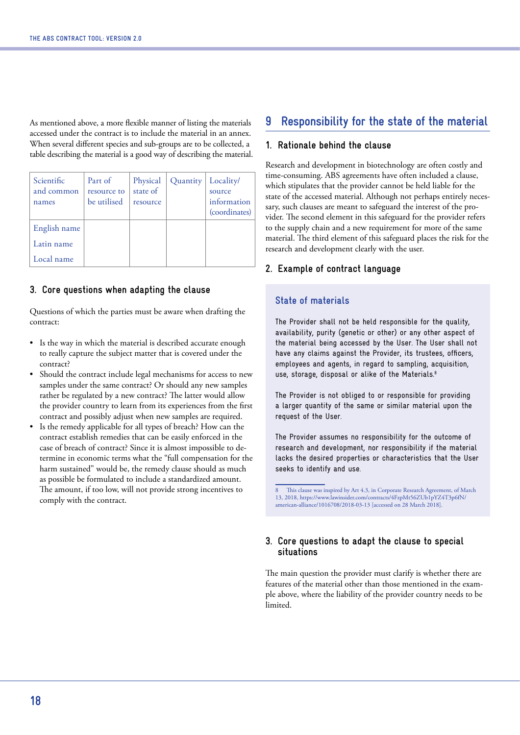As mentioned above, a more flexible manner of listing the materials accessed under the contract is to include the material in an annex. When several different species and sub-groups are to be collected, a table describing the material is a good way of describing the material.

| Scientific<br>and common<br>names | Part of<br>resource to<br>be utilised | Physical<br>state of<br>resource | Quantity | Locality/<br>source<br>information<br>(coordinates) |
|-----------------------------------|---------------------------------------|----------------------------------|----------|-----------------------------------------------------|
| English name                      |                                       |                                  |          |                                                     |
| Latin name                        |                                       |                                  |          |                                                     |
| Local name                        |                                       |                                  |          |                                                     |

#### **3. Core questions when adapting the clause**

Questions of which the parties must be aware when drafting the contract:

- Is the way in which the material is described accurate enough to really capture the subject matter that is covered under the contract?
- Should the contract include legal mechanisms for access to new samples under the same contract? Or should any new samples rather be regulated by a new contract? The latter would allow the provider country to learn from its experiences from the first contract and possibly adjust when new samples are required.
- Is the remedy applicable for all types of breach? How can the contract establish remedies that can be easily enforced in the case of breach of contract? Since it is almost impossible to determine in economic terms what the "full compensation for the harm sustained" would be, the remedy clause should as much as possible be formulated to include a standardized amount. The amount, if too low, will not provide strong incentives to comply with the contract.

### **9 Responsibility for the state of the material**

#### **1. Rationale behind the clause**

Research and development in biotechnology are often costly and time-consuming. ABS agreements have often included a clause, which stipulates that the provider cannot be held liable for the state of the accessed material. Although not perhaps entirely necessary, such clauses are meant to safeguard the interest of the provider. The second element in this safeguard for the provider refers to the supply chain and a new requirement for more of the same material. The third element of this safeguard places the risk for the research and development clearly with the user.

#### **2. Example of contract language**

#### **State of materials**

The Provider shall not be held responsible for the quality, availability, purity (genetic or other) or any other aspect of the material being accessed by the User. The User shall not have any claims against the Provider, its trustees, officers, employees and agents, in regard to sampling, acquisition, use, storage, disposal or alike of the Materials.<sup>8</sup>

The Provider is not obliged to or responsible for providing a larger quantity of the same or similar material upon the request of the User.

The Provider assumes no responsibility for the outcome of research and development, nor responsibility if the material lacks the desired properties or characteristics that the User seeks to identify and use.

#### **3. Core questions to adapt the clause to special situations**

The main question the provider must clarify is whether there are features of the material other than those mentioned in the example above, where the liability of the provider country needs to be limited.

This clause was inspired by Art 4.3, in Corporate Research Agreement, of March 13, 2018, https://www.lawinsider.com/contracts/4FzpMt56ZUb1pYZ4T3p6fN/ american-alliance/1016708/2018-03-13 [accessed on 28 March 2018].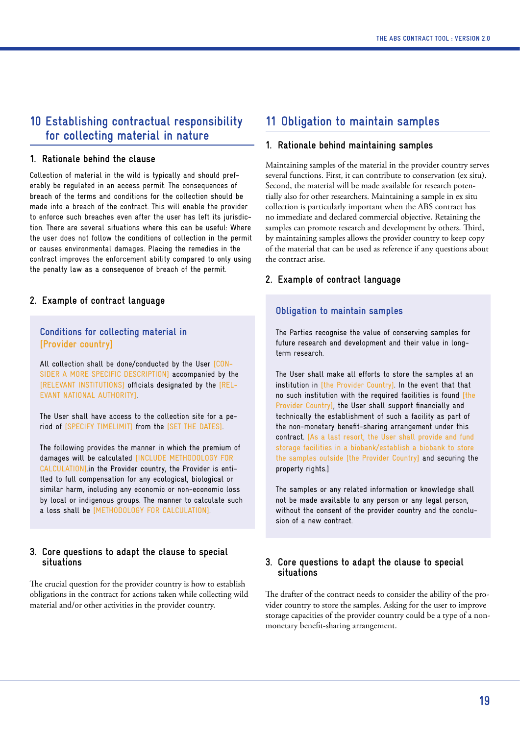### **10 Establishing contractual responsibility for collecting material in nature**

#### **1. Rationale behind the clause**

Collection of material in the wild is typically and should preferably be regulated in an access permit. The consequences of breach of the terms and conditions for the collection should be made into a breach of the contract. This will enable the provider to enforce such breaches even after the user has left its jurisdiction. There are several situations where this can be useful: Where the user does not follow the conditions of collection in the permit or causes environmental damages. Placing the remedies in the contract improves the enforcement ability compared to only using the penalty law as a consequence of breach of the permit.

#### **2. Example of contract language**

#### **Conditions for collecting material in [Provider country]**

All collection shall be done/conducted by the User [CON-SIDER A MORE SPECIFIC DESCRIPTION] accompanied by the [RELEVANT INSTITUTIONS] officials designated by the [REL-EVANT NATIONAL AUTHORITY].

The User shall have access to the collection site for a period of [SPECIFY TIMELIMIT] from the [SET THE DATES].

The following provides the manner in which the premium of damages will be calculated [INCLUDE METHODOLOGY FOR CALCULATION].in the Provider country, the Provider is entitled to full compensation for any ecological, biological or similar harm, including any economic or non-economic loss by local or indigenous groups. The manner to calculate such a loss shall be [METHODOLOGY FOR CALCULATION].

#### **3. Core questions to adapt the clause to special situations**

The crucial question for the provider country is how to establish obligations in the contract for actions taken while collecting wild material and/or other activities in the provider country.

### **11 Obligation to maintain samples**

#### **1. Rationale behind maintaining samples**

Maintaining samples of the material in the provider country serves several functions. First, it can contribute to conservation (ex situ). Second, the material will be made available for research potentially also for other researchers. Maintaining a sample in ex situ collection is particularly important when the ABS contract has no immediate and declared commercial objective. Retaining the samples can promote research and development by others. Third, by maintaining samples allows the provider country to keep copy of the material that can be used as reference if any questions about the contract arise.

#### **2. Example of contract language**

#### **Obligation to maintain samples**

The Parties recognise the value of conserving samples for future research and development and their value in longterm research.

The User shall make all efforts to store the samples at an institution in [the Provider Country]. In the event that that no such institution with the required facilities is found [the Provider Country], the User shall support financially and technically the establishment of such a facility as part of the non-monetary benefit-sharing arrangement under this contract. [As a last resort, the User shall provide and fund storage facilities in a biobank/establish a biobank to store the samples outside [the Provider Country] and securing the property rights.]

The samples or any related information or knowledge shall not be made available to any person or any legal person, without the consent of the provider country and the conclusion of a new contract.

#### **3. Core questions to adapt the clause to special situations**

The drafter of the contract needs to consider the ability of the provider country to store the samples. Asking for the user to improve storage capacities of the provider country could be a type of a nonmonetary benefit-sharing arrangement.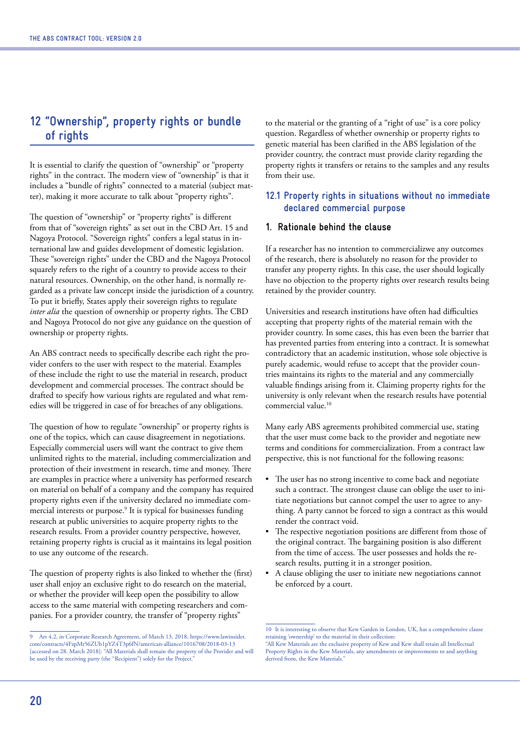### **12 "Ownership", property rights or bundle of rights**

It is essential to clarify the question of "ownership" or "property rights" in the contract. The modern view of "ownership" is that it includes a "bundle of rights" connected to a material (subject matter), making it more accurate to talk about "property rights".

The question of "ownership" or "property rights" is different from that of "sovereign rights" as set out in the CBD Art. 15 and Nagoya Protocol. "Sovereign rights" confers a legal status in international law and guides development of domestic legislation. These "sovereign rights" under the CBD and the Nagoya Protocol squarely refers to the right of a country to provide access to their natural resources. Ownership, on the other hand, is normally regarded as a private law concept inside the jurisdiction of a country. To put it briefly, States apply their sovereign rights to regulate *inter alia* the question of ownership or property rights. The CBD and Nagoya Protocol do not give any guidance on the question of ownership or property rights.

An ABS contract needs to specifically describe each right the provider confers to the user with respect to the material. Examples of these include the right to use the material in research, product development and commercial processes. The contract should be drafted to specify how various rights are regulated and what remedies will be triggered in case of for breaches of any obligations.

The question of how to regulate "ownership" or property rights is one of the topics, which can cause disagreement in negotiations. Especially commercial users will want the contract to give them unlimited rights to the material, including commercialization and protection of their investment in research, time and money. There are examples in practice where a university has performed research on material on behalf of a company and the company has required property rights even if the university declared no immediate commercial interests or purpose.<sup>9</sup> It is typical for businesses funding research at public universities to acquire property rights to the research results. From a provider country perspective, however, retaining property rights is crucial as it maintains its legal position to use any outcome of the research.

The question of property rights is also linked to whether the (first) user shall enjoy an exclusive right to do research on the material, or whether the provider will keep open the possibility to allow access to the same material with competing researchers and companies. For a provider country, the transfer of "property rights"

to the material or the granting of a "right of use" is a core policy question. Regardless of whether ownership or property rights to genetic material has been clarified in the ABS legislation of the provider country, the contract must provide clarity regarding the property rights it transfers or retains to the samples and any results from their use.

### **12.1 Property rights in situations without no immediate declared commercial purpose**

#### **1. Rationale behind the clause**

If a researcher has no intention to commercializwe any outcomes of the research, there is absolutely no reason for the provider to transfer any property rights. In this case, the user should logically have no objection to the property rights over research results being retained by the provider country.

Universities and research institutions have often had difficulties accepting that property rights of the material remain with the provider country. In some cases, this has even been the barrier that has prevented parties from entering into a contract. It is somewhat contradictory that an academic institution, whose sole objective is purely academic, would refuse to accept that the provider countries maintains its rights to the material and any commercially valuable findings arising from it. Claiming property rights for the university is only relevant when the research results have potential commercial value.<sup>10</sup>

Many early ABS agreements prohibited commercial use, stating that the user must come back to the provider and negotiate new terms and conditions for commercialization. From a contract law perspective, this is not functional for the following reasons:

- The user has no strong incentive to come back and negotiate such a contract. The strongest clause can oblige the user to initiate negotiations but cannot compel the user to agree to anything. A party cannot be forced to sign a contract as this would render the contract void.
- The respective negotiation positions are different from those of the original contract. The bargaining position is also different from the time of access. The user possesses and holds the research results, putting it in a stronger position.
- A clause obliging the user to initiate new negotiations cannot be enforced by a court.

<sup>9</sup> Art 4.2, in Corporate Research Agreement, of March 13, 2018, https://www.lawinsider. com/contracts/4FzpMt56ZUb1pYZ4T3p6fN/american-alliance/1016708/2018-03-13 [accessed on 28. March 2018]: "All Materials shall remain the property of the Provider and will be used by the receiving party (the "Recipient") solely for the Project."

<sup>10</sup> It is interesting to observe that Kew Garden in London, UK, has a comprehensive clause retaining 'ownership' to the material in their collection:

<sup>&</sup>quot;All Kew Materials are the exclusive property of Kew and Kew shall retain all Intellectual Property Rights in the Kew Materials, any amendments or improvements to and anything derived from, the Kew Materials."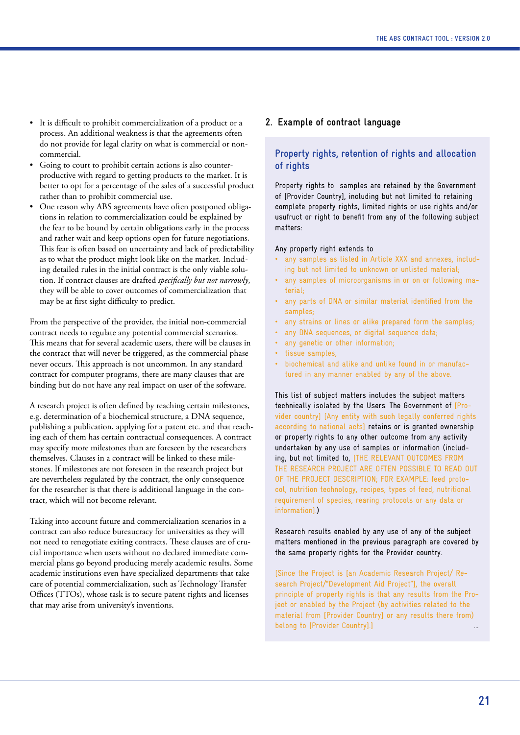- It is difficult to prohibit commercialization of a product or a process. An additional weakness is that the agreements often do not provide for legal clarity on what is commercial or noncommercial.
- Going to court to prohibit certain actions is also counterproductive with regard to getting products to the market. It is better to opt for a percentage of the sales of a successful product rather than to prohibit commercial use.
- One reason why ABS agreements have often postponed obligations in relation to commercialization could be explained by the fear to be bound by certain obligations early in the process and rather wait and keep options open for future negotiations. This fear is often based on uncertainty and lack of predictability as to what the product might look like on the market. Including detailed rules in the initial contract is the only viable solution. If contract clauses are drafted *specifically but not narrowly*, they will be able to cover outcomes of commercialization that may be at first sight difficulty to predict.

From the perspective of the provider, the initial non-commercial contract needs to regulate any potential commercial scenarios. This means that for several academic users, there will be clauses in the contract that will never be triggered, as the commercial phase never occurs. This approach is not uncommon. In any standard contract for computer programs, there are many clauses that are binding but do not have any real impact on user of the software.

A research project is often defined by reaching certain milestones, e.g. determination of a biochemical structure, a DNA sequence, publishing a publication, applying for a patent etc. and that reaching each of them has certain contractual consequences. A contract may specify more milestones than are foreseen by the researchers themselves. Clauses in a contract will be linked to these milestones. If milestones are not foreseen in the research project but are nevertheless regulated by the contract, the only consequence for the researcher is that there is additional language in the contract, which will not become relevant.

Taking into account future and commercialization scenarios in a contract can also reduce bureaucracy for universities as they will not need to renegotiate exiting contracts. These clauses are of crucial importance when users without no declared immediate commercial plans go beyond producing merely academic results. Some academic institutions even have specialized departments that take care of potential commercialization, such as Technology Transfer Offices (TTOs), whose task is to secure patent rights and licenses that may arise from university's inventions.

#### **2. Example of contract language**

#### **Property rights, retention of rights and allocation of rights**

Property rights to samples are retained by the Government of [Provider Country], including but not limited to retaining complete property rights, limited rights or use rights and/or usufruct or right to benefit from any of the following subject matters:

#### Any property right extends to

- any samples as listed in Article XXX and annexes, including but not limited to unknown or unlisted material;
- any samples of microorganisms in or on or following material;
- any parts of DNA or similar material identified from the samples;
- any strains or lines or alike prepared form the samples;
- any DNA sequences, or digital sequence data;
- any genetic or other information;
- tissue samples:
- biochemical and alike and unlike found in or manufactured in any manner enabled by any of the above.

This list of subject matters includes the subject matters technically isolated by the Users. The Government of [Provider country] [Any entity with such legally conferred rights according to national acts] retains or is granted ownership or property rights to any other outcome from any activity undertaken by any use of samples or information (including, but not limited to, [THE RELEVANT OUTCOMES FROM THE RESEARCH PROJECT ARE OFTEN POSSIBLE TO READ OUT OF THE PROJECT DESCRIPTION; FOR EXAMPLE: feed protocol, nutrition technology, recipes, types of feed, nutritional requirement of species, rearing protocols or any data or information].)

Research results enabled by any use of any of the subject matters mentioned in the previous paragraph are covered by the same property rights for the Provider country.

[Since the Project is [an Academic Research Project/ Research Project/"Development Aid Project"], the overall principle of property rights is that any results from the Project or enabled by the Project (by activities related to the material from [Provider Country] or any results there from) belong to [Provider Country].]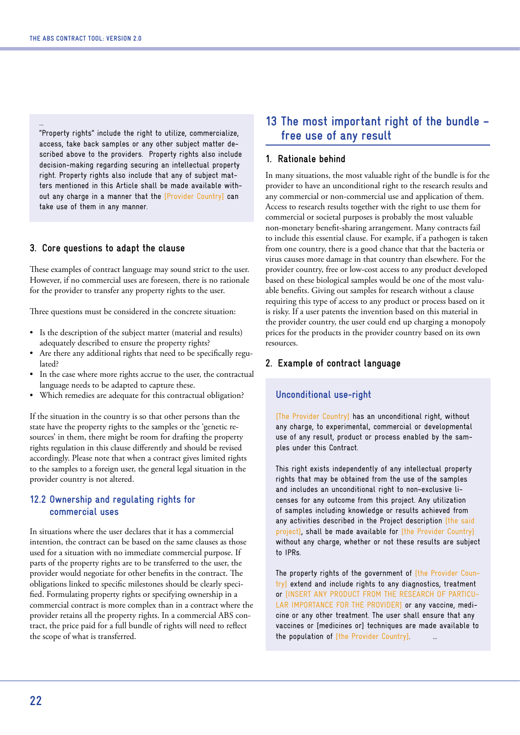...

"Property rights" include the right to utilize, commercialize, access, take back samples or any other subject matter described above to the providers. Property rights also include decision-making regarding securing an intellectual property right. Property rights also include that any of subject matters mentioned in this Article shall be made available without any charge in a manner that the [Provider Country] can take use of them in any manner.

#### **3. Core questions to adapt the clause**

These examples of contract language may sound strict to the user. However, if no commercial uses are foreseen, there is no rationale for the provider to transfer any property rights to the user.

Three questions must be considered in the concrete situation:

- Is the description of the subject matter (material and results) adequately described to ensure the property rights?
- Are there any additional rights that need to be specifically regulated?
- In the case where more rights accrue to the user, the contractual language needs to be adapted to capture these.
- Which remedies are adequate for this contractual obligation?

If the situation in the country is so that other persons than the state have the property rights to the samples or the 'genetic resources' in them, there might be room for drafting the property rights regulation in this clause differently and should be revised accordingly. Please note that when a contract gives limited rights to the samples to a foreign user, the general legal situation in the provider country is not altered.

#### **12.2 Ownership and regulating rights for commercial uses**

In situations where the user declares that it has a commercial intention, the contract can be based on the same clauses as those used for a situation with no immediate commercial purpose. If parts of the property rights are to be transferred to the user, the provider would negotiate for other benefits in the contract. The obligations linked to specific milestones should be clearly specified. Formulating property rights or specifying ownership in a commercial contract is more complex than in a contract where the provider retains all the property rights. In a commercial ABS contract, the price paid for a full bundle of rights will need to reflect the scope of what is transferred.

### **13 The most important right of the bundle – free use of any result**

#### **1. Rationale behind**

In many situations, the most valuable right of the bundle is for the provider to have an unconditional right to the research results and any commercial or non-commercial use and application of them. Access to research results together with the right to use them for commercial or societal purposes is probably the most valuable non-monetary benefit-sharing arrangement. Many contracts fail to include this essential clause. For example, if a pathogen is taken from one country, there is a good chance that that the bacteria or virus causes more damage in that country than elsewhere. For the provider country, free or low-cost access to any product developed based on these biological samples would be one of the most valuable benefits. Giving out samples for research without a clause requiring this type of access to any product or process based on it is risky. If a user patents the invention based on this material in the provider country, the user could end up charging a monopoly prices for the products in the provider country based on its own resources.

#### **2. Example of contract language**

#### **Unconditional use-right**

[The Provider Country] has an unconditional right, without any charge, to experimental, commercial or developmental use of any result, product or process enabled by the samples under this Contract.

This right exists independently of any intellectual property rights that may be obtained from the use of the samples and includes an unconditional right to non-exclusive licenses for any outcome from this project. Any utilization of samples including knowledge or results achieved from any activities described in the Project description [the said project], shall be made available for [the Provider Country] without any charge, whether or not these results are subject to IPRs.

The property rights of the government of [the Provider Country] extend and include rights to any diagnostics, treatment or [INSERT ANY PRODUCT FROM THE RESEARCH OF PARTICU-LAR IMPORTANCE FOR THE PROVIDER] or any vaccine, medicine or any other treatment. The user shall ensure that any vaccines or [medicines or] techniques are made available to the population of [the Provider Country].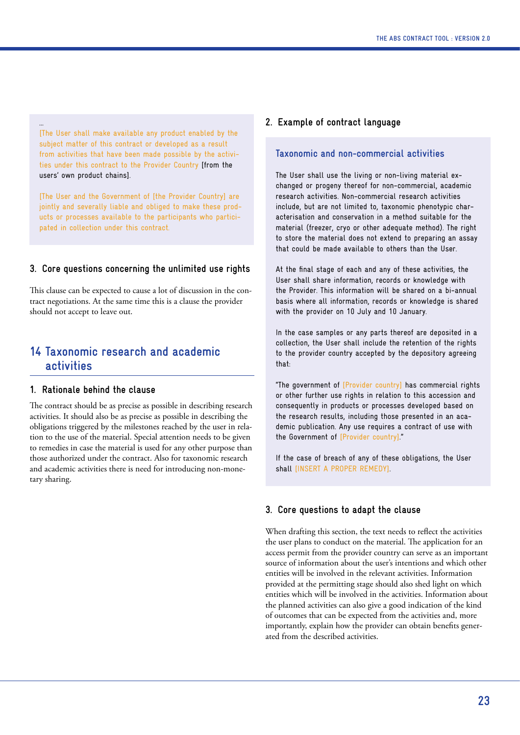[The User shall make available any product enabled by the subject matter of this contract or developed as a result from activities that have been made possible by the activities under this contract to the Provider Country [from the users' own product chains].

[The User and the Government of [the Provider Country] are jointly and severally liable and obliged to make these products or processes available to the participants who participated in collection under this contract.

#### **3. Core questions concerning the unlimited use rights**

This clause can be expected to cause a lot of discussion in the contract negotiations. At the same time this is a clause the provider should not accept to leave out.

### **14 Taxonomic research and academic activities**

#### **1. Rationale behind the clause**

...

The contract should be as precise as possible in describing research activities. It should also be as precise as possible in describing the obligations triggered by the milestones reached by the user in relation to the use of the material. Special attention needs to be given to remedies in case the material is used for any other purpose than those authorized under the contract. Also for taxonomic research and academic activities there is need for introducing non-monetary sharing.

#### **2. Example of contract language**

#### **Taxonomic and non-commercial activities**

The User shall use the living or non-living material exchanged or progeny thereof for non-commercial, academic research activities. Non-commercial research activities include, but are not limited to, taxonomic phenotypic characterisation and conservation in a method suitable for the material (freezer, cryo or other adequate method). The right to store the material does not extend to preparing an assay that could be made available to others than the User.

At the final stage of each and any of these activities, the User shall share information, records or knowledge with the Provider. This information will be shared on a bi-annual basis where all information, records or knowledge is shared with the provider on 10 July and 10 January.

In the case samples or any parts thereof are deposited in a collection, the User shall include the retention of the rights to the provider country accepted by the depository agreeing that:

"The government of [Provider country] has commercial rights or other further use rights in relation to this accession and consequently in products or processes developed based on the research results, including those presented in an academic publication. Any use requires a contract of use with the Government of [Provider country]."

If the case of breach of any of these obligations, the User shall [INSERT A PROPER REMEDY].

#### **3. Core questions to adapt the clause**

When drafting this section, the text needs to reflect the activities the user plans to conduct on the material. The application for an access permit from the provider country can serve as an important source of information about the user's intentions and which other entities will be involved in the relevant activities. Information provided at the permitting stage should also shed light on which entities which will be involved in the activities. Information about the planned activities can also give a good indication of the kind of outcomes that can be expected from the activities and, more importantly, explain how the provider can obtain benefits generated from the described activities.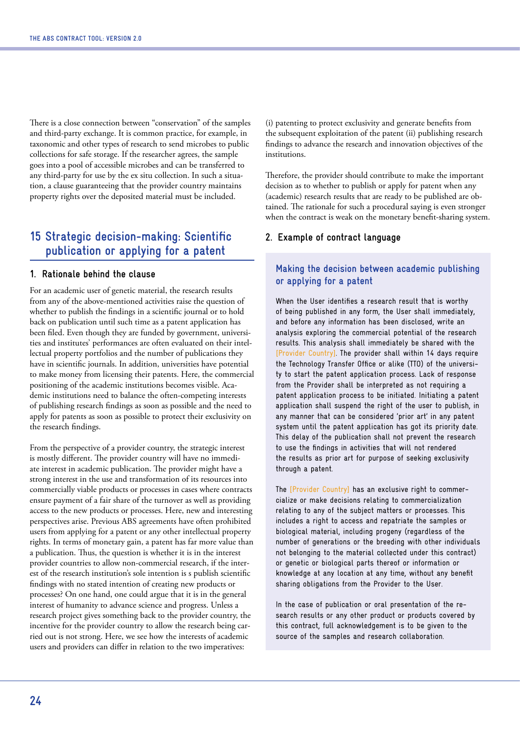There is a close connection between "conservation" of the samples and third-party exchange. It is common practice, for example, in taxonomic and other types of research to send microbes to public collections for safe storage. If the researcher agrees, the sample goes into a pool of accessible microbes and can be transferred to any third-party for use by the ex situ collection. In such a situation, a clause guaranteeing that the provider country maintains property rights over the deposited material must be included.

### **15 Strategic decision-making: Scientific publication or applying for a patent**

#### **1. Rationale behind the clause**

For an academic user of genetic material, the research results from any of the above-mentioned activities raise the question of whether to publish the findings in a scientific journal or to hold back on publication until such time as a patent application has been filed. Even though they are funded by government, universities and institutes' performances are often evaluated on their intellectual property portfolios and the number of publications they have in scientific journals. In addition, universities have potential to make money from licensing their patents. Here, the commercial positioning of the academic institutions becomes visible. Academic institutions need to balance the often-competing interests of publishing research findings as soon as possible and the need to apply for patents as soon as possible to protect their exclusivity on the research findings.

From the perspective of a provider country, the strategic interest is mostly different. The provider country will have no immediate interest in academic publication. The provider might have a strong interest in the use and transformation of its resources into commercially viable products or processes in cases where contracts ensure payment of a fair share of the turnover as well as providing access to the new products or processes. Here, new and interesting perspectives arise. Previous ABS agreements have often prohibited users from applying for a patent or any other intellectual property rights. In terms of monetary gain, a patent has far more value than a publication. Thus, the question is whether it is in the interest provider countries to allow non-commercial research, if the interest of the research institution's sole intention is s publish scientific findings with no stated intention of creating new products or processes? On one hand, one could argue that it is in the general interest of humanity to advance science and progress. Unless a research project gives something back to the provider country, the incentive for the provider country to allow the research being carried out is not strong. Here, we see how the interests of academic users and providers can differ in relation to the two imperatives:

(i) patenting to protect exclusivity and generate benefits from the subsequent exploitation of the patent (ii) publishing research findings to advance the research and innovation objectives of the institutions.

Therefore, the provider should contribute to make the important decision as to whether to publish or apply for patent when any (academic) research results that are ready to be published are obtained. The rationale for such a procedural saying is even stronger when the contract is weak on the monetary benefit-sharing system.

#### **2. Example of contract language**

#### **Making the decision between academic publishing or applying for a patent**

When the User identifies a research result that is worthy of being published in any form, the User shall immediately, and before any information has been disclosed, write an analysis exploring the commercial potential of the research results. This analysis shall immediately be shared with the [Provider Country]. The provider shall within 14 days require the Technology Transfer Office or alike (TTO) of the university to start the patent application process. Lack of response from the Provider shall be interpreted as not requiring a patent application process to be initiated. Initiating a patent application shall suspend the right of the user to publish, in any manner that can be considered 'prior art' in any patent system until the patent application has got its priority date. This delay of the publication shall not prevent the research to use the findings in activities that will not rendered the results as prior art for purpose of seeking exclusivity through a patent.

The [Provider Country] has an exclusive right to commercialize or make decisions relating to commercialization relating to any of the subject matters or processes. This includes a right to access and repatriate the samples or biological material, including progeny (regardless of the number of generations or the breeding with other individuals not belonging to the material collected under this contract) or genetic or biological parts thereof or information or knowledge at any location at any time, without any benefit sharing obligations from the Provider to the User.

In the case of publication or oral presentation of the research results or any other product or products covered by this contract, full acknowledgement is to be given to the source of the samples and research collaboration.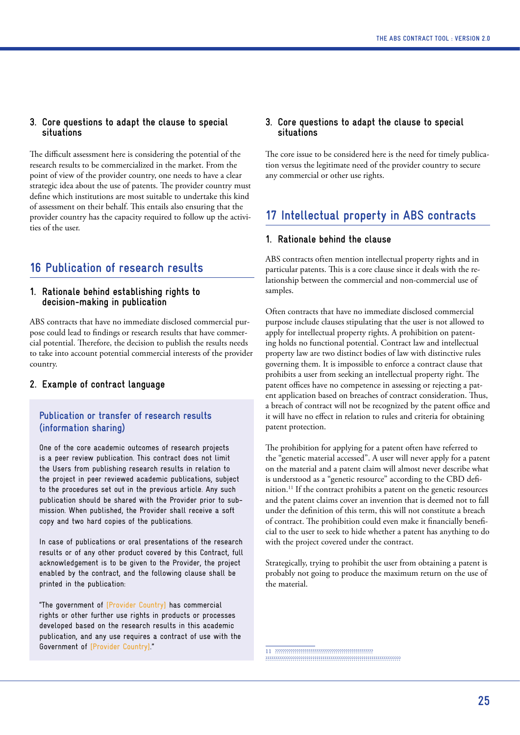#### **3. Core questions to adapt the clause to special situations**

The difficult assessment here is considering the potential of the research results to be commercialized in the market. From the point of view of the provider country, one needs to have a clear strategic idea about the use of patents. The provider country must define which institutions are most suitable to undertake this kind of assessment on their behalf. This entails also ensuring that the provider country has the capacity required to follow up the activities of the user.

### **16 Publication of research results**

#### **1. Rationale behind establishing rights to decision-making in publication**

ABS contracts that have no immediate disclosed commercial purpose could lead to findings or research results that have commercial potential. Therefore, the decision to publish the results needs to take into account potential commercial interests of the provider country.

#### **2. Example of contract language**

### **Publication or transfer of research results (information sharing)**

One of the core academic outcomes of research projects is a peer review publication. This contract does not limit the Users from publishing research results in relation to the project in peer reviewed academic publications, subject to the procedures set out in the previous article. Any such publication should be shared with the Provider prior to submission. When published, the Provider shall receive a soft copy and two hard copies of the publications.

In case of publications or oral presentations of the research results or of any other product covered by this Contract, full acknowledgement is to be given to the Provider, the project enabled by the contract, and the following clause shall be printed in the publication:

"The government of [Provider Country] has commercial rights or other further use rights in products or processes developed based on the research results in this academic publication, and any use requires a contract of use with the Government of [Provider Country]."

#### **3. Core questions to adapt the clause to special situations**

The core issue to be considered here is the need for timely publication versus the legitimate need of the provider country to secure any commercial or other use rights.

### **17 Intellectual property in ABS contracts**

#### **1. Rationale behind the clause**

ABS contracts often mention intellectual property rights and in particular patents. This is a core clause since it deals with the relationship between the commercial and non-commercial use of samples.

Often contracts that have no immediate disclosed commercial purpose include clauses stipulating that the user is not allowed to apply for intellectual property rights. A prohibition on patenting holds no functional potential. Contract law and intellectual property law are two distinct bodies of law with distinctive rules governing them. It is impossible to enforce a contract clause that prohibits a user from seeking an intellectual property right. The patent offices have no competence in assessing or rejecting a patent application based on breaches of contract consideration. Thus, a breach of contract will not be recognized by the patent office and it will have no effect in relation to rules and criteria for obtaining patent protection.

The prohibition for applying for a patent often have referred to the "genetic material accessed". A user will never apply for a patent on the material and a patent claim will almost never describe what is understood as a "genetic resource" according to the CBD definition.11 If the contract prohibits a patent on the genetic resources and the patent claims cover an invention that is deemed not to fall under the definition of this term, this will not constitute a breach of contract. The prohibition could even make it financially beneficial to the user to seek to hide whether a patent has anything to do with the project covered under the contract.

Strategically, trying to prohibit the user from obtaining a patent is probably not going to produce the maximum return on the use of the material.

11 ?????????????????????????????????????????????????? ?????????????????????????????????????????????????????????????????????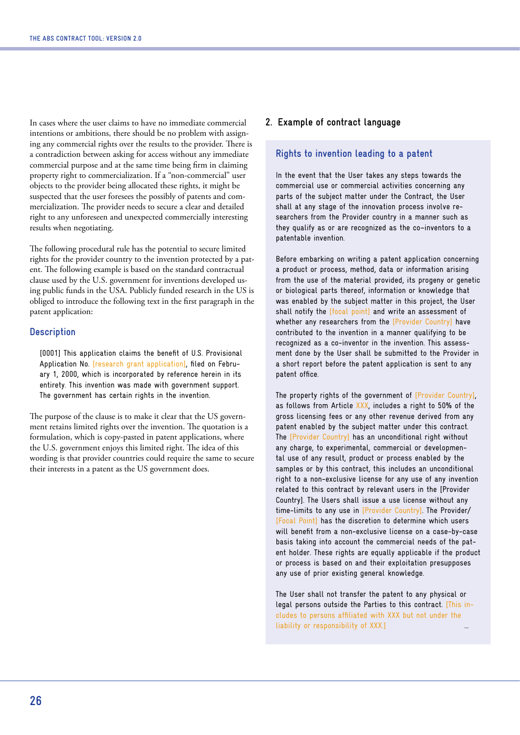In cases where the user claims to have no immediate commercial intentions or ambitions, there should be no problem with assigning any commercial rights over the results to the provider. There is a contradiction between asking for access without any immediate commercial purpose and at the same time being firm in claiming property right to commercialization. If a "non-commercial" user objects to the provider being allocated these rights, it might be suspected that the user foresees the possibly of patents and commercialization. The provider needs to secure a clear and detailed right to any unforeseen and unexpected commercially interesting results when negotiating.

The following procedural rule has the potential to secure limited rights for the provider country to the invention protected by a patent. The following example is based on the standard contractual clause used by the U.S. government for inventions developed using public funds in the USA. Publicly funded research in the US is obliged to introduce the following text in the first paragraph in the patent application:

#### **Description**

[0001] This application claims the benefit of U.S. Provisional Application No. [research grant application], filed on February 1, 2000, which is incorporated by reference herein in its entirety. This invention was made with government support. The government has certain rights in the invention.

The purpose of the clause is to make it clear that the US government retains limited rights over the invention. The quotation is a formulation, which is copy-pasted in patent applications, where the U.S. government enjoys this limited right. The idea of this wording is that provider countries could require the same to secure their interests in a patent as the US government does.

#### **2. Example of contract language**

#### **Rights to invention leading to a patent**

In the event that the User takes any steps towards the commercial use or commercial activities concerning any parts of the subject matter under the Contract, the User shall at any stage of the innovation process involve researchers from the Provider country in a manner such as they qualify as or are recognized as the co–inventors to a patentable invention.

Before embarking on writing a patent application concerning a product or process, method, data or information arising from the use of the material provided, its progeny or genetic or biological parts thereof, information or knowledge that was enabled by the subject matter in this project, the User shall notify the [focal point] and write an assessment of whether any researchers from the [Provider Country] have contributed to the invention in a manner qualifying to be recognized as a co-inventor in the invention. This assessment done by the User shall be submitted to the Provider in a short report before the patent application is sent to any patent office.

The property rights of the government of [Provider Country], as follows from Article XXX, includes a right to 50% of the gross licensing fees or any other revenue derived from any patent enabled by the subject matter under this contract. The [Provider Country] has an unconditional right without any charge, to experimental, commercial or developmental use of any result, product or process enabled by the samples or by this contract, this includes an unconditional right to a non-exclusive license for any use of any invention related to this contract by relevant users in the [Provider Country]. The Users shall issue a use license without any time-limits to any use in [Provider Country]. The Provider/ [Focal Point] has the discretion to determine which users will benefit from a non-exclusive license on a case-by-case basis taking into account the commercial needs of the patent holder. These rights are equally applicable if the product or process is based on and their exploitation presupposes any use of prior existing general knowledge.

The User shall not transfer the patent to any physical or legal persons outside the Parties to this contract. [This includes to persons affiliated with XXX but not under the liability or responsibility of XXX.]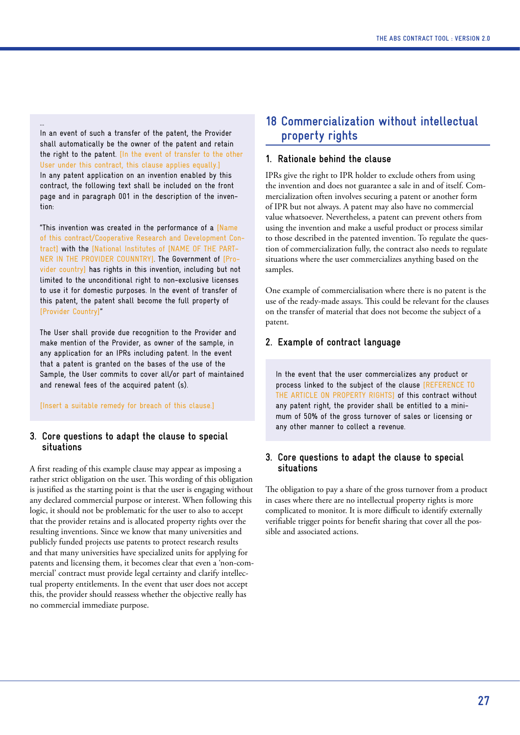...

In an event of such a transfer of the patent, the Provider shall automatically be the owner of the patent and retain the right to the patent. [In the event of transfer to the other User under this contract, this clause applies equally.] In any patent application on an invention enabled by this contract, the following text shall be included on the front page and in paragraph 001 in the description of the invention:

"This invention was created in the performance of a [Name of this contract/Cooperative Research and Development Contract] with the [National Institutes of [NAME OF THE PART-NER IN THE PROVIDER COUNNTRY]. The Government of [Provider country] has rights in this invention, including but not limited to the unconditional right to non-exclusive licenses to use it for domestic purposes. In the event of transfer of this patent, the patent shall become the full property of [Provider Country]"

The User shall provide due recognition to the Provider and make mention of the Provider, as owner of the sample, in any application for an IPRs including patent. In the event that a patent is granted on the bases of the use of the Sample, the User commits to cover all/or part of maintained and renewal fees of the acquired patent (s).

[Insert a suitable remedy for breach of this clause.]

#### **3. Core questions to adapt the clause to special situations**

A first reading of this example clause may appear as imposing a rather strict obligation on the user. This wording of this obligation is justified as the starting point is that the user is engaging without any declared commercial purpose or interest. When following this logic, it should not be problematic for the user to also to accept that the provider retains and is allocated property rights over the resulting inventions. Since we know that many universities and publicly funded projects use patents to protect research results and that many universities have specialized units for applying for patents and licensing them, it becomes clear that even a 'non-commercial' contract must provide legal certainty and clarify intellectual property entitlements. In the event that user does not accept this, the provider should reassess whether the objective really has no commercial immediate purpose.

### **18 Commercialization without intellectual property rights**

#### **1. Rationale behind the clause**

IPRs give the right to IPR holder to exclude others from using the invention and does not guarantee a sale in and of itself. Commercialization often involves securing a patent or another form of IPR but not always. A patent may also have no commercial value whatsoever. Nevertheless, a patent can prevent others from using the invention and make a useful product or process similar to those described in the patented invention. To regulate the question of commercialization fully, the contract also needs to regulate situations where the user commercializes anything based on the samples.

One example of commercialisation where there is no patent is the use of the ready-made assays. This could be relevant for the clauses on the transfer of material that does not become the subject of a patent.

#### **2. Example of contract language**

In the event that the user commercializes any product or process linked to the subject of the clause [REFERENCE TO THE ARTICLE ON PROPERTY RIGHTS] of this contract without any patent right, the provider shall be entitled to a minimum of 50% of the gross turnover of sales or licensing or any other manner to collect a revenue.

#### **3. Core questions to adapt the clause to special situations**

The obligation to pay a share of the gross turnover from a product in cases where there are no intellectual property rights is more complicated to monitor. It is more difficult to identify externally verifiable trigger points for benefit sharing that cover all the possible and associated actions.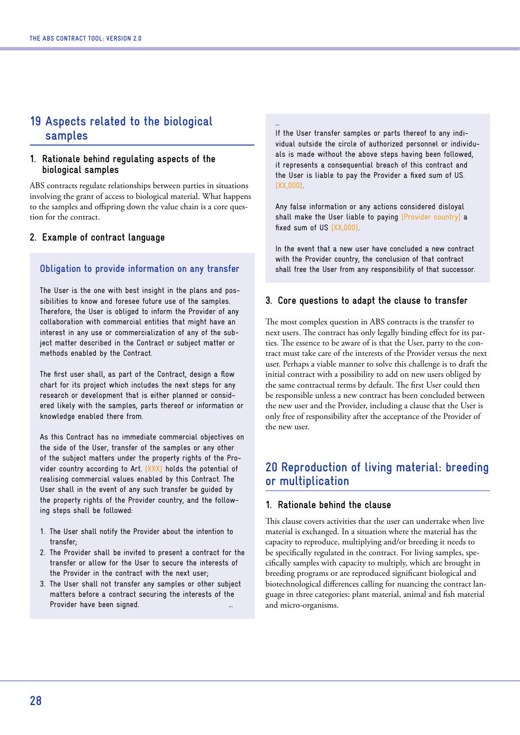### **19 Aspects related to the biological samples**

#### **1. Rationale behind regulating aspects of the biological samples**

ABS contracts regulate relationships between parties in situations involving the grant of access to biological material. What happens to the samples and offspring down the value chain is a core question for the contract.

#### **2. Example of contract language**

The User is the one with best insight in the plans and possibilities to know and foresee future use of the samples. Therefore, the User is obliged to inform the Provider of any collaboration with commercial entities that might have an interest in any use or commercialization of any of the subject matter described in the Contract or subject matter or methods enabled by the Contract.

The first user shall, as part of the Contract, design a flow chart for its project which includes the next steps for any research or development that is either planned or considered likely with the samples, parts thereof or information or knowledge enabled there from.

As this Contract has no immediate commercial objectives on the side of the User, transfer of the samples or any other of the subject matters under the property rights of the Provider country according to Art. [XXX] holds the potential of realising commercial values enabled by this Contract. The User shall in the event of any such transfer be guided by the property rights of the Provider country, and the following steps shall be followed:

- 1. The User shall notify the Provider about the intention to transfer;
- 2. The Provider shall be invited to present a contract for the transfer or allow for the User to secure the interests of the Provider in the contract with the next user;
- 3. The User shall not transfer any samples or other subject matters before a contract securing the interests of the Provider have been signed.

If the User transfer samples or parts thereof to any individual outside the circle of authorized personnel or individuals is made without the above steps having been followed, it represents a consequential breach of this contract and the User is liable to pay the Provider a fixed sum of US. [XX,000].

...

Any false information or any actions considered disloyal shall make the User liable to paying [Provider country] a fixed sum of US [XX,000].

In the event that a new user have concluded a new contract with the Provider country, the conclusion of that contract **Obligation to provide information on any transfer** shall free the User from any responsibility of that successor.

#### **3. Core questions to adapt the clause to transfer**

The most complex question in ABS contracts is the transfer to next users. The contract has only legally binding effect for its parties. The essence to be aware of is that the User, party to the contract must take care of the interests of the Provider versus the next user. Perhaps a viable manner to solve this challenge is to draft the initial contract with a possibility to add on new users obliged by the same contractual terms by default. The first User could then be responsible unless a new contract has been concluded between the new user and the Provider, including a clause that the User is only free of responsibility after the acceptance of the Provider of the new user.

### **20 Reproduction of living material: breeding or multiplication**

#### **1. Rationale behind the clause**

This clause covers activities that the user can undertake when live material is exchanged. In a situation where the material has the capacity to reproduce, multiplying and/or breeding it needs to be specifically regulated in the contract. For living samples, specifically samples with capacity to multiply, which are brought in breeding programs or are reproduced significant biological and biotechnological differences calling for nuancing the contract language in three categories: plant material, animal and fish material and micro-organisms.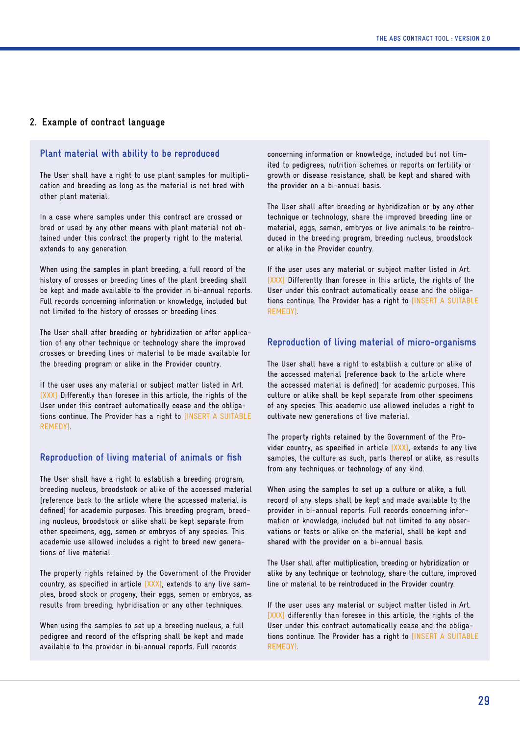#### **2. Example of contract language**

#### **Plant material with ability to be reproduced**

The User shall have a right to use plant samples for multiplication and breeding as long as the material is not bred with other plant material.

In a case where samples under this contract are crossed or bred or used by any other means with plant material not obtained under this contract the property right to the material extends to any generation.

When using the samples in plant breeding, a full record of the history of crosses or breeding lines of the plant breeding shall be kept and made available to the provider in bi-annual reports. Full records concerning information or knowledge, included but not limited to the history of crosses or breeding lines.

The User shall after breeding or hybridization or after application of any other technique or technology share the improved crosses or breeding lines or material to be made available for the breeding program or alike in the Provider country.

If the user uses any material or subject matter listed in Art. [XXX] Differently than foresee in this article, the rights of the User under this contract automatically cease and the obligations continue. The Provider has a right to [INSERT A SUITABLE REMEDY].

#### **Reproduction of living material of animals or fish**

The User shall have a right to establish a breeding program, breeding nucleus, broodstock or alike of the accessed material [reference back to the article where the accessed material is defined] for academic purposes. This breeding program, breeding nucleus, broodstock or alike shall be kept separate from other specimens, egg, semen or embryos of any species. This academic use allowed includes a right to breed new generations of live material.

The property rights retained by the Government of the Provider country, as specified in article  $[XXX]$ , extends to any live samples, brood stock or progeny, their eggs, semen or embryos, as results from breeding, hybridisation or any other techniques.

When using the samples to set up a breeding nucleus, a full pedigree and record of the offspring shall be kept and made available to the provider in bi-annual reports. Full records

concerning information or knowledge, included but not limited to pedigrees, nutrition schemes or reports on fertility or growth or disease resistance, shall be kept and shared with the provider on a bi-annual basis.

The User shall after breeding or hybridization or by any other technique or technology, share the improved breeding line or material, eggs, semen, embryos or live animals to be reintroduced in the breeding program, breeding nucleus, broodstock or alike in the Provider country.

If the user uses any material or subject matter listed in Art. [XXX] Differently than foresee in this article, the rights of the User under this contract automatically cease and the obligations continue. The Provider has a right to [INSERT A SUITABLE REMEDY].

#### **Reproduction of living material of micro-organisms**

The User shall have a right to establish a culture or alike of the accessed material [reference back to the article where the accessed material is defined] for academic purposes. This culture or alike shall be kept separate from other specimens of any species. This academic use allowed includes a right to cultivate new generations of live material.

The property rights retained by the Government of the Provider country, as specified in article [XXX], extends to any live samples, the culture as such, parts thereof or alike, as results from any techniques or technology of any kind.

When using the samples to set up a culture or alike, a full record of any steps shall be kept and made available to the provider in bi-annual reports. Full records concerning information or knowledge, included but not limited to any observations or tests or alike on the material, shall be kept and shared with the provider on a bi-annual basis.

The User shall after multiplication, breeding or hybridization or alike by any technique or technology, share the culture, improved line or material to be reintroduced in the Provider country.

If the user uses any material or subject matter listed in Art. [XXX] differently than foresee in this article, the rights of the User under this contract automatically cease and the obligations continue. The Provider has a right to [INSERT A SUITABLE REMEDY].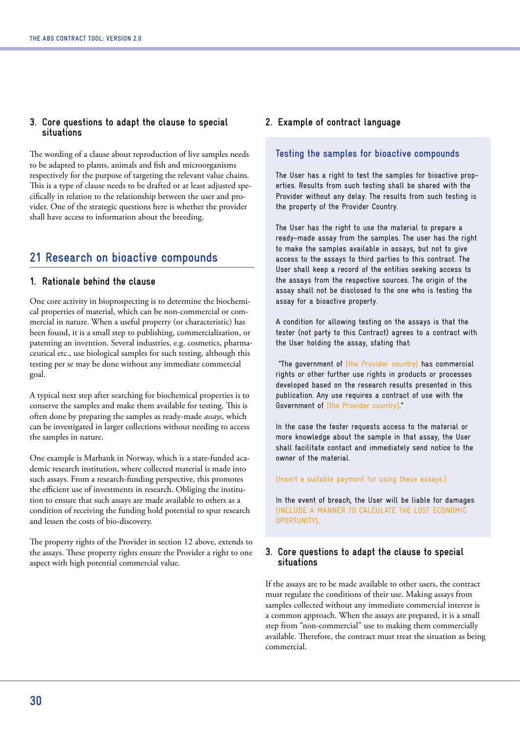#### **3. Core questions to adapt the clause to special situations**

The wording of a clause about reproduction of live samples needs to be adapted to plants, animals and fish and microorganisms respectively for the purpose of targeting the relevant value chains. This is a type of clause needs to be drafted or at least adjusted specifically in relation to the relationship between the user and provider. One of the strategic questions here is whether the provider shall have access to information about the breeding.

### **21 Research on bioactive compounds**

#### **1. Rationale behind the clause**

One core activity in bioprospecting is to determine the biochemical properties of material, which can be non-commercial or commercial in nature. When a useful property (or characteristic) has been found, it is a small step to publishing, commercialization, or patenting an invention. Several industries, e.g. cosmetics, pharmaceutical etc., use biological samples for such testing, although this testing per se may be done without any immediate commercial goal.

A typical next step after searching for biochemical properties is to conserve the samples and make them available for testing. This is often done by preparing the samples as ready-made *assays*, which can be investigated in larger collections without needing to access the samples in nature.

One example is Marbank in Norway, which is a state-funded academic research institution, where collected material is made into such assays. From a research-funding perspective, this promotes the efficient use of investments in research. Obliging the institution to ensure that such assays are made available to others as a condition of receiving the funding hold potential to spur research and lessen the costs of bio-discovery.

The property rights of the Provider in section 12 above, extends to the assays. These property rights ensure the Provider a right to one aspect with high potential commercial value.

#### **2. Example of contract language**

#### **Testing the samples for bioactive compounds**

The User has a right to test the samples for bioactive properties. Results from such testing shall be shared with the Provider without any delay. The results from such testing is the property of the Provider Country.

The User has the right to use the material to prepare a ready-made assay from the samples. The user has the right to make the samples available in assays, but not to give access to the assays to third parties to this contract. The User shall keep a record of the entities seeking access to the assays from the respective sources. The origin of the assay shall not be disclosed to the one who is testing the assay for a bioactive property.

A condition for allowing testing on the assays is that the tester (not party to this Contract) agrees to a contract with the User holding the assay, stating that:

 "The government of [the Provider country] has commercial rights or other further use rights in products or processes developed based on the research results presented in this publication. Any use requires a contract of use with the Government of [the Provider country]."

In the case the tester requests access to the material or more knowledge about the sample in that assay, the User shall facilitate contact and immediately send notice to the owner of the material.

#### [Insert a suitable payment for using these assays.]

In the event of breach, the User will be liable for damages [INCLUDE A MANNER TO CALCULATE THE LOST ECONOMIC OPORTUNITY].

#### **3. Core questions to adapt the clause to special situations**

If the assays are to be made available to other users, the contract must regulate the conditions of their use. Making assays from samples collected without any immediate commercial interest is a common approach. When the assays are prepared, it is a small step from "non-commercial" use to making them commercially available. Therefore, the contract must treat the situation as being commercial.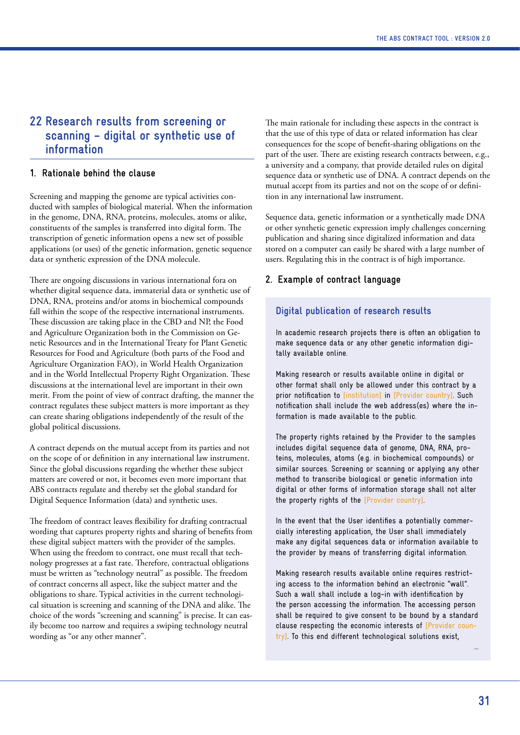### **22 Research results from screening or scanning – digital or synthetic use of information**

#### **1. Rationale behind the clause**

Screening and mapping the genome are typical activities conducted with samples of biological material. When the information in the genome, DNA, RNA, proteins, molecules, atoms or alike, constituents of the samples is transferred into digital form. The transcription of genetic information opens a new set of possible applications (or uses) of the genetic information, genetic sequence data or synthetic expression of the DNA molecule.

There are ongoing discussions in various international fora on whether digital sequence data, immaterial data or synthetic use of DNA, RNA, proteins and/or atoms in biochemical compounds fall within the scope of the respective international instruments. These discussion are taking place in the CBD and NP, the Food and Agriculture Organization both in the Commission on Genetic Resources and in the International Treaty for Plant Genetic Resources for Food and Agriculture (both parts of the Food and Agriculture Organization FAO), in World Health Organization and in the World Intellectual Property Right Organization. These discussions at the international level are important in their own merit. From the point of view of contract drafting, the manner the contract regulates these subject matters is more important as they can create sharing obligations independently of the result of the global political discussions.

A contract depends on the mutual accept from its parties and not on the scope of or definition in any international law instrument. Since the global discussions regarding the whether these subject matters are covered or not, it becomes even more important that ABS contracts regulate and thereby set the global standard for Digital Sequence Information (data) and synthetic uses.

The freedom of contract leaves flexibility for drafting contractual wording that captures property rights and sharing of benefits from these digital subject matters with the provider of the samples. When using the freedom to contract, one must recall that technology progresses at a fast rate. Therefore, contractual obligations must be written as "technology neutral" as possible. The freedom of contract concerns all aspect, like the subject matter and the obligations to share. Typical activities in the current technological situation is screening and scanning of the DNA and alike. The choice of the words "screening and scanning" is precise. It can easily become too narrow and requires a swiping technology neutral wording as "or any other manner".

The main rationale for including these aspects in the contract is that the use of this type of data or related information has clear consequences for the scope of benefit-sharing obligations on the part of the user. There are existing research contracts between, e.g., a university and a company, that provide detailed rules on digital sequence data or synthetic use of DNA. A contract depends on the mutual accept from its parties and not on the scope of or definition in any international law instrument.

Sequence data, genetic information or a synthetically made DNA or other synthetic genetic expression imply challenges concerning publication and sharing since digitalized information and data stored on a computer can easily be shared with a large number of users. Regulating this in the contract is of high importance.

#### **2. Example of contract language**

#### **Digital publication of research results**

In academic research projects there is often an obligation to make sequence data or any other genetic information digitally available online.

Making research or results available online in digital or other format shall only be allowed under this contract by a prior notification to [institution] in [Provider country]. Such notification shall include the web address(es) where the information is made available to the public.

The property rights retained by the Provider to the samples includes digital sequence data of genome, DNA, RNA, proteins, molecules, atoms (e.g. in biochemical compounds) or similar sources. Screening or scanning or applying any other method to transcribe biological or genetic information into digital or other forms of information storage shall not alter the property rights of the [Provider country].

In the event that the User identifies a potentially commercially interesting application, the User shall immediately make any digital sequences data or information available to the provider by means of transferring digital information.

Making research results available online requires restricting access to the information behind an electronic "wall". Such a wall shall include a log-in with identification by the person accessing the information. The accessing person shall be required to give consent to be bound by a standard clause respecting the economic interests of [Provider country]. To this end different technological solutions exist,

...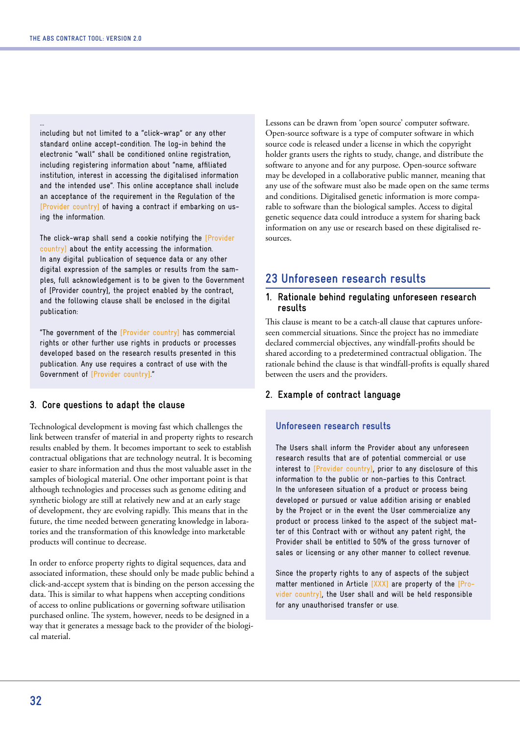...

including but not limited to a "click-wrap" or any other standard online accept-condition. The log-in behind the electronic "wall" shall be conditioned online registration, including registering information about "name, affiliated institution, interest in accessing the digitalised information and the intended use". This online acceptance shall include an acceptance of the requirement in the Regulation of the [Provider country] of having a contract if embarking on using the information.

The click-wrap shall send a cookie notifying the [Provider country] about the entity accessing the information. In any digital publication of sequence data or any other digital expression of the samples or results from the samples, full acknowledgement is to be given to the Government of [Provider country], the project enabled by the contract, and the following clause shall be enclosed in the digital publication:

"The government of the [Provider country] has commercial rights or other further use rights in products or processes developed based on the research results presented in this publication. Any use requires a contract of use with the Government of [Provider country]."

#### **3. Core questions to adapt the clause**

Technological development is moving fast which challenges the link between transfer of material in and property rights to research results enabled by them. It becomes important to seek to establish contractual obligations that are technology neutral. It is becoming easier to share information and thus the most valuable asset in the samples of biological material. One other important point is that although technologies and processes such as genome editing and synthetic biology are still at relatively new and at an early stage of development, they are evolving rapidly. This means that in the future, the time needed between generating knowledge in laboratories and the transformation of this knowledge into marketable products will continue to decrease.

In order to enforce property rights to digital sequences, data and associated information, these should only be made public behind a click-and-accept system that is binding on the person accessing the data. This is similar to what happens when accepting conditions of access to online publications or governing software utilisation purchased online. The system, however, needs to be designed in a way that it generates a message back to the provider of the biological material.

Lessons can be drawn from 'open source' computer software. Open-source software is a type of computer software in which source code is released under a license in which the copyright holder grants users the rights to study, change, and distribute the software to anyone and for any purpose. Open-source software may be developed in a collaborative public manner, meaning that any use of the software must also be made open on the same terms and conditions. Digitalised genetic information is more comparable to software than the biological samples. Access to digital genetic sequence data could introduce a system for sharing back information on any use or research based on these digitalised resources.

### **23 Unforeseen research results**

#### **1. Rationale behind regulating unforeseen research results**

This clause is meant to be a catch-all clause that captures unforeseen commercial situations. Since the project has no immediate declared commercial objectives, any windfall-profits should be shared according to a predetermined contractual obligation. The rationale behind the clause is that windfall-profits is equally shared between the users and the providers.

#### **2. Example of contract language**

#### **Unforeseen research results**

The Users shall inform the Provider about any unforeseen research results that are of potential commercial or use interest to [Provider country], prior to any disclosure of this information to the public or non-parties to this Contract. In the unforeseen situation of a product or process being developed or pursued or value addition arising or enabled by the Project or in the event the User commercialize any product or process linked to the aspect of the subject matter of this Contract with or without any patent right, the Provider shall be entitled to 50% of the gross turnover of sales or licensing or any other manner to collect revenue.

Since the property rights to any of aspects of the subject matter mentioned in Article [XXX] are property of the [Provider country], the User shall and will be held responsible for any unauthorised transfer or use.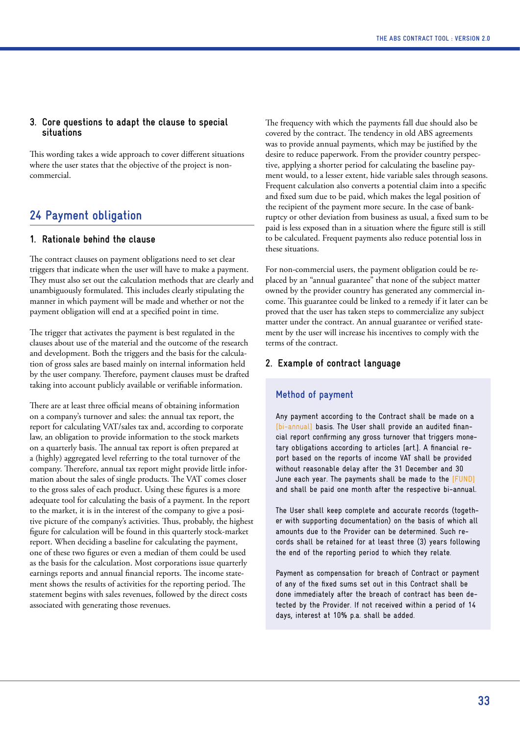#### **3. Core questions to adapt the clause to special situations**

This wording takes a wide approach to cover different situations where the user states that the objective of the project is noncommercial.

### **24 Payment obligation**

#### **1. Rationale behind the clause**

The contract clauses on payment obligations need to set clear triggers that indicate when the user will have to make a payment. They must also set out the calculation methods that are clearly and unambiguously formulated. This includes clearly stipulating the manner in which payment will be made and whether or not the payment obligation will end at a specified point in time.

The trigger that activates the payment is best regulated in the clauses about use of the material and the outcome of the research and development. Both the triggers and the basis for the calculation of gross sales are based mainly on internal information held by the user company. Therefore, payment clauses must be drafted taking into account publicly available or verifiable information.

There are at least three official means of obtaining information on a company's turnover and sales: the annual tax report, the report for calculating VAT/sales tax and, according to corporate law, an obligation to provide information to the stock markets on a quarterly basis. The annual tax report is often prepared at a (highly) aggregated level referring to the total turnover of the company. Therefore, annual tax report might provide little information about the sales of single products. The VAT comes closer to the gross sales of each product. Using these figures is a more adequate tool for calculating the basis of a payment. In the report to the market, it is in the interest of the company to give a positive picture of the company's activities. Thus, probably, the highest figure for calculation will be found in this quarterly stock-market report. When deciding a baseline for calculating the payment, one of these two figures or even a median of them could be used as the basis for the calculation. Most corporations issue quarterly earnings reports and annual financial reports. The income statement shows the results of activities for the reporting period. The statement begins with sales revenues, followed by the direct costs associated with generating those revenues.

The frequency with which the payments fall due should also be covered by the contract. The tendency in old ABS agreements was to provide annual payments, which may be justified by the desire to reduce paperwork. From the provider country perspective, applying a shorter period for calculating the baseline payment would, to a lesser extent, hide variable sales through seasons. Frequent calculation also converts a potential claim into a specific and fixed sum due to be paid, which makes the legal position of the recipient of the payment more secure. In the case of bankruptcy or other deviation from business as usual, a fixed sum to be paid is less exposed than in a situation where the figure still is still to be calculated. Frequent payments also reduce potential loss in these situations.

For non-commercial users, the payment obligation could be replaced by an "annual guarantee" that none of the subject matter owned by the provider country has generated any commercial income. This guarantee could be linked to a remedy if it later can be proved that the user has taken steps to commercialize any subject matter under the contract. An annual guarantee or verified statement by the user will increase his incentives to comply with the terms of the contract.

#### **2. Example of contract language**

#### **Method of payment**

Any payment according to the Contract shall be made on a [bi-annual] basis. The User shall provide an audited financial report confirming any gross turnover that triggers monetary obligations according to articles [art.]. A financial report based on the reports of income VAT shall be provided without reasonable delay after the 31 December and 30 June each year. The payments shall be made to the [FUND] and shall be paid one month after the respective bi-annual.

The User shall keep complete and accurate records (together with supporting documentation) on the basis of which all amounts due to the Provider can be determined. Such records shall be retained for at least three (3) years following the end of the reporting period to which they relate.

Payment as compensation for breach of Contract or payment of any of the fixed sums set out in this Contract shall be done immediately after the breach of contract has been detected by the Provider. If not received within a period of 14 days, interest at 10% p.a. shall be added.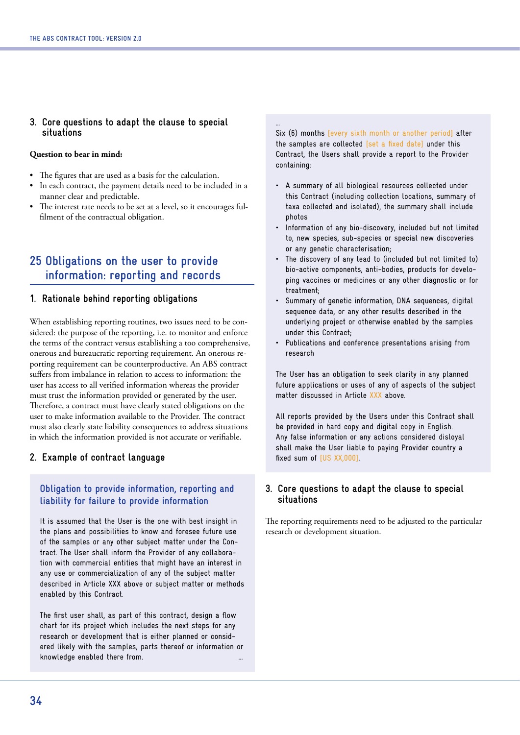#### **3. Core questions to adapt the clause to special situations**

#### **Question to bear in mind:**

- The figures that are used as a basis for the calculation.
- In each contract, the payment details need to be included in a manner clear and predictable.
- The interest rate needs to be set at a level, so it encourages fulfilment of the contractual obligation.

### **25 Obligations on the user to provide information: reporting and records**

#### **1. Rationale behind reporting obligations**

When establishing reporting routines, two issues need to be considered: the purpose of the reporting, i.e. to monitor and enforce the terms of the contract versus establishing a too comprehensive, onerous and bureaucratic reporting requirement. An onerous reporting requirement can be counterproductive. An ABS contract suffers from imbalance in relation to access to information: the user has access to all verified information whereas the provider must trust the information provided or generated by the user. Therefore, a contract must have clearly stated obligations on the user to make information available to the Provider. The contract must also clearly state liability consequences to address situations in which the information provided is not accurate or verifiable.

#### **2. Example of contract language**

#### **Obligation to provide information, reporting and liability for failure to provide information**

It is assumed that the User is the one with best insight in the plans and possibilities to know and foresee future use of the samples or any other subject matter under the Contract. The User shall inform the Provider of any collaboration with commercial entities that might have an interest in any use or commercialization of any of the subject matter described in Article XXX above or subject matter or methods enabled by this Contract.

The first user shall, as part of this contract, design a flow chart for its project which includes the next steps for any research or development that is either planned or considered likely with the samples, parts thereof or information or knowledge enabled there from.

#### ...

Six (6) months [every sixth month or another period] after the samples are collected [set a fixed date] under this Contract, the Users shall provide a report to the Provider containing:

- A summary of all biological resources collected under this Contract (including collection locations, summary of taxa collected and isolated), the summary shall include photos
- Information of any bio-discovery, included but not limited to, new species, sub-species or special new discoveries or any genetic characterisation;
- The discovery of any lead to (included but not limited to) bio-active components, anti-bodies, products for developing vaccines or medicines or any other diagnostic or for treatment;
- Summary of genetic information, DNA sequences, digital sequence data, or any other results described in the underlying project or otherwise enabled by the samples under this Contract;
- Publications and conference presentations arising from research

The User has an obligation to seek clarity in any planned future applications or uses of any of aspects of the subject matter discussed in Article XXX above.

All reports provided by the Users under this Contract shall be provided in hard copy and digital copy in English. Any false information or any actions considered disloyal shall make the User liable to paying Provider country a fixed sum of [US XX,000].

#### **3. Core questions to adapt the clause to special situations**

The reporting requirements need to be adjusted to the particular research or development situation.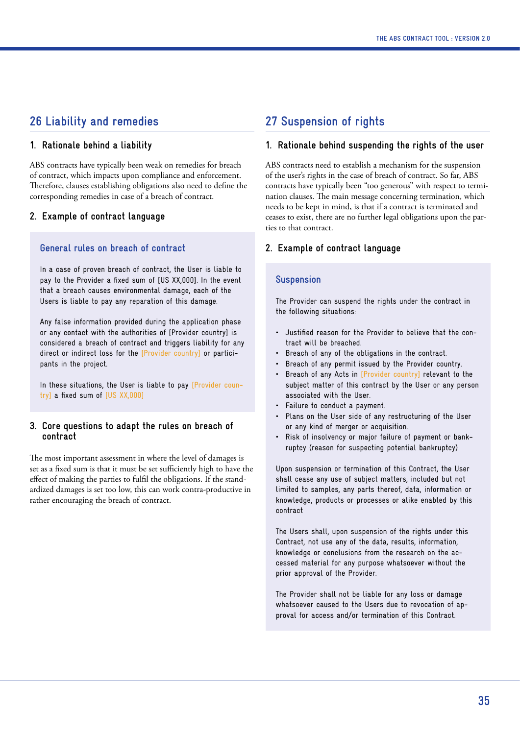### **26 Liability and remedies**

#### **1. Rationale behind a liability**

ABS contracts have typically been weak on remedies for breach of contract, which impacts upon compliance and enforcement. Therefore, clauses establishing obligations also need to define the corresponding remedies in case of a breach of contract.

#### **2. Example of contract language**

#### **General rules on breach of contract**

In a case of proven breach of contract, the User is liable to pay to the Provider a fixed sum of [US XX,000]. In the event that a breach causes environmental damage, each of the Users is liable to pay any reparation of this damage.

Any false information provided during the application phase or any contact with the authorities of [Provider country] is considered a breach of contract and triggers liability for any direct or indirect loss for the [Provider country] or participants in the project.

In these situations, the User is liable to pay [Provider country] a fixed sum of [US XX,000]

#### **3. Core questions to adapt the rules on breach of contract**

The most important assessment in where the level of damages is set as a fixed sum is that it must be set sufficiently high to have the effect of making the parties to fulfil the obligations. If the standardized damages is set too low, this can work contra-productive in rather encouraging the breach of contract.

### **27 Suspension of rights**

#### **1. Rationale behind suspending the rights of the user**

ABS contracts need to establish a mechanism for the suspension of the user's rights in the case of breach of contract. So far, ABS contracts have typically been "too generous" with respect to termination clauses. The main message concerning termination, which needs to be kept in mind, is that if a contract is terminated and ceases to exist, there are no further legal obligations upon the parties to that contract.

#### **2. Example of contract language**

#### **Suspension**

The Provider can suspend the rights under the contract in the following situations:

- Justified reason for the Provider to believe that the contract will be breached.
- Breach of any of the obligations in the contract.
- Breach of any permit issued by the Provider country.
- Breach of any Acts in [Provider country] relevant to the subject matter of this contract by the User or any person associated with the User.
- Failure to conduct a payment.
- Plans on the User side of any restructuring of the User or any kind of merger or acquisition.
- Risk of insolvency or major failure of payment or bankruptcy (reason for suspecting potential bankruptcy)

Upon suspension or termination of this Contract, the User shall cease any use of subject matters, included but not limited to samples, any parts thereof, data, information or knowledge, products or processes or alike enabled by this contract

The Users shall, upon suspension of the rights under this Contract, not use any of the data, results, information, knowledge or conclusions from the research on the accessed material for any purpose whatsoever without the prior approval of the Provider.

The Provider shall not be liable for any loss or damage whatsoever caused to the Users due to revocation of approval for access and/or termination of this Contract.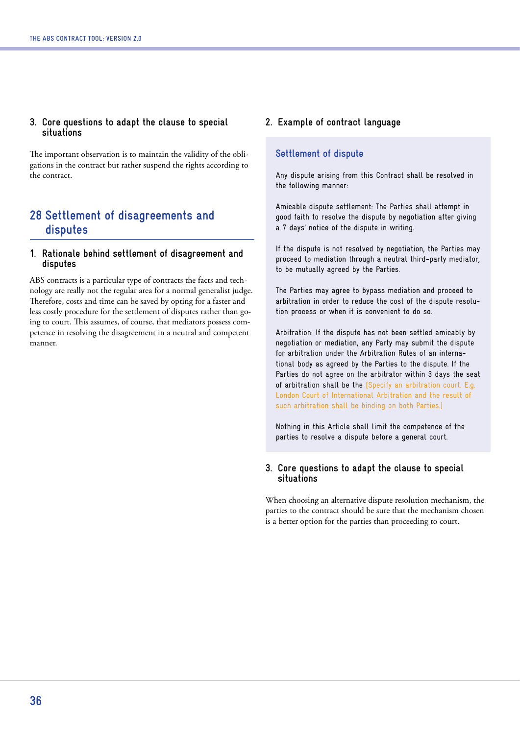#### **3. Core questions to adapt the clause to special situations**

The important observation is to maintain the validity of the obligations in the contract but rather suspend the rights according to the contract.

### **28 Settlement of disagreements and disputes**

#### **1. Rationale behind settlement of disagreement and disputes**

ABS contracts is a particular type of contracts the facts and technology are really not the regular area for a normal generalist judge. Therefore, costs and time can be saved by opting for a faster and less costly procedure for the settlement of disputes rather than going to court. This assumes, of course, that mediators possess competence in resolving the disagreement in a neutral and competent manner.

#### **2. Example of contract language**

#### **Settlement of dispute**

Any dispute arising from this Contract shall be resolved in the following manner:

Amicable dispute settlement: The Parties shall attempt in good faith to resolve the dispute by negotiation after giving a 7 days' notice of the dispute in writing.

If the dispute is not resolved by negotiation, the Parties may proceed to mediation through a neutral third-party mediator, to be mutually agreed by the Parties.

The Parties may agree to bypass mediation and proceed to arbitration in order to reduce the cost of the dispute resolution process or when it is convenient to do so.

Arbitration: If the dispute has not been settled amicably by negotiation or mediation, any Party may submit the dispute for arbitration under the Arbitration Rules of an international body as agreed by the Parties to the dispute. If the Parties do not agree on the arbitrator within 3 days the seat of arbitration shall be the [Specify an arbitration court. E.g. London Court of International Arbitration and the result of such arbitration shall be binding on both Parties.]

Nothing in this Article shall limit the competence of the parties to resolve a dispute before a general court.

#### **3. Core questions to adapt the clause to special situations**

When choosing an alternative dispute resolution mechanism, the parties to the contract should be sure that the mechanism chosen is a better option for the parties than proceeding to court.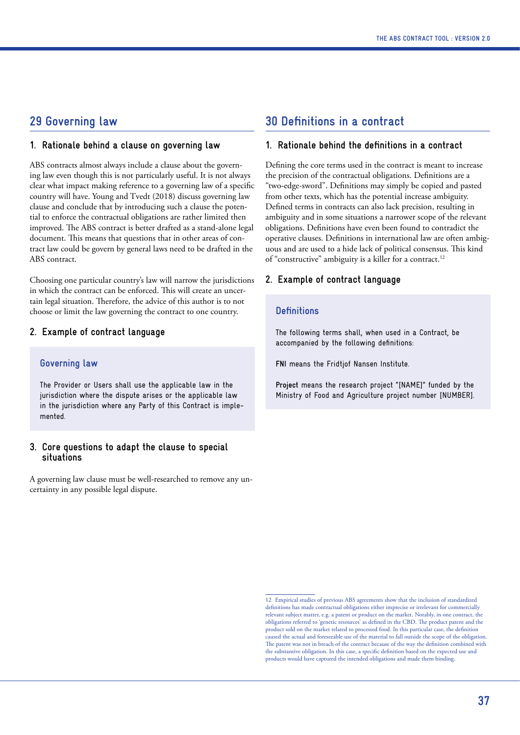### **29 Governing law**

#### **1. Rationale behind a clause on governing law**

ABS contracts almost always include a clause about the governing law even though this is not particularly useful. It is not always clear what impact making reference to a governing law of a specific country will have. Young and Tvedt (2018) discuss governing law clause and conclude that by introducing such a clause the potential to enforce the contractual obligations are rather limited then improved. The ABS contract is better drafted as a stand-alone legal document. This means that questions that in other areas of contract law could be govern by general laws need to be drafted in the ABS contract.

Choosing one particular country's law will narrow the jurisdictions in which the contract can be enforced. This will create an uncertain legal situation. Therefore, the advice of this author is to not choose or limit the law governing the contract to one country.

#### **2. Example of contract language**

#### **Governing law**

The Provider or Users shall use the applicable law in the jurisdiction where the dispute arises or the applicable law in the jurisdiction where any Party of this Contract is implemented.

#### **3. Core questions to adapt the clause to special situations**

A governing law clause must be well-researched to remove any uncertainty in any possible legal dispute.

### **30 Definitions in a contract**

#### **1. Rationale behind the definitions in a contract**

Defining the core terms used in the contract is meant to increase the precision of the contractual obligations. Definitions are a "two-edge-sword". Definitions may simply be copied and pasted from other texts, which has the potential increase ambiguity. Defined terms in contracts can also lack precision, resulting in ambiguity and in some situations a narrower scope of the relevant obligations. Definitions have even been found to contradict the operative clauses. Definitions in international law are often ambiguous and are used to a hide lack of political consensus. This kind of "constructive" ambiguity is a killer for a contract.<sup>12</sup>

#### **2. Example of contract language**

#### **Definitions**

The following terms shall, when used in a Contract, be accompanied by the following definitions:

**FNI** means the Fridtjof Nansen Institute.

**Project** means the research project "[NAME]" funded by the Ministry of Food and Agriculture project number [NUMBER].

<sup>12</sup> Empirical studies of previous ABS agreements show that the inclusion of standardized definitions has made contractual obligations either imprecise or irrelevant for commercially relevant subject matter, e.g. a patent or product on the market. Notably, in one contract, the obligations referred to 'genetic resources' as defined in the CBD. The product patent and the product sold on the market related to processed food. In this particular case, the definition caused the actual and foreseeable use of the material to fall outside the scope of the obligation. The patent was not in breach of the contract because of the way the definition combined with the substantive obligation. In this case, a specific definition based on the expected use and products would have captured the intended obligations and made them binding.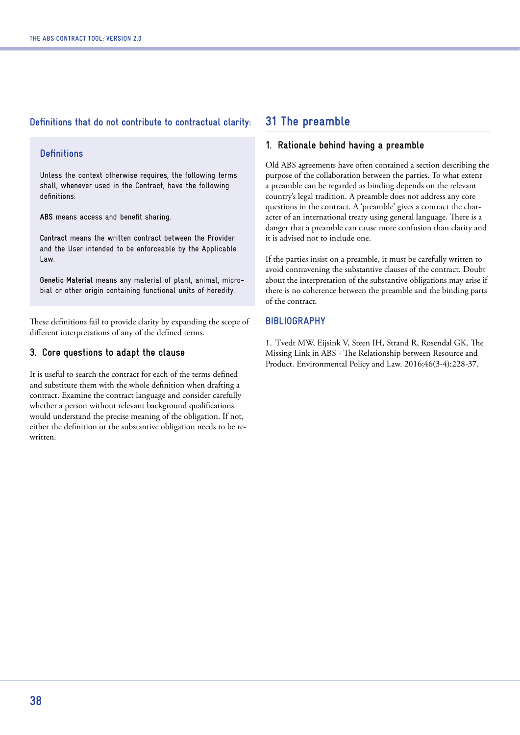#### **Definitions that do not contribute to contractual clarity:**

#### **Definitions**

Unless the context otherwise requires, the following terms shall, whenever used in the Contract, have the following definitions:

**ABS** means access and benefit sharing.

**Contract** means the written contract between the Provider and the User intended to be enforceable by the Applicable Law.

**Genetic Material** means any material of plant, animal, microbial or other origin containing functional units of heredity.

These definitions fail to provide clarity by expanding the scope of different interpretations of any of the defined terms.

#### **3. Core questions to adapt the clause**

It is useful to search the contract for each of the terms defined and substitute them with the whole definition when drafting a contract. Examine the contract language and consider carefully whether a person without relevant background qualifications would understand the precise meaning of the obligation. If not, either the definition or the substantive obligation needs to be rewritten.

#### **31 The preamble**

#### **1. Rationale behind having a preamble**

Old ABS agreements have often contained a section describing the purpose of the collaboration between the parties. To what extent a preamble can be regarded as binding depends on the relevant country's legal tradition. A preamble does not address any core questions in the contract. A 'preamble' gives a contract the character of an international treaty using general language. There is a danger that a preamble can cause more confusion than clarity and it is advised not to include one.

If the parties insist on a preamble, it must be carefully written to avoid contravening the substantive clauses of the contract. Doubt about the interpretation of the substantive obligations may arise if there is no coherence between the preamble and the binding parts of the contract.

#### **BIBLIOGRAPHY**

1. Tvedt MW, Eijsink V, Steen IH, Strand R, Rosendal GK. The Missing Link in ABS - The Relationship between Resource and Product. Environmental Policy and Law. 2016;46(3-4):228-37.